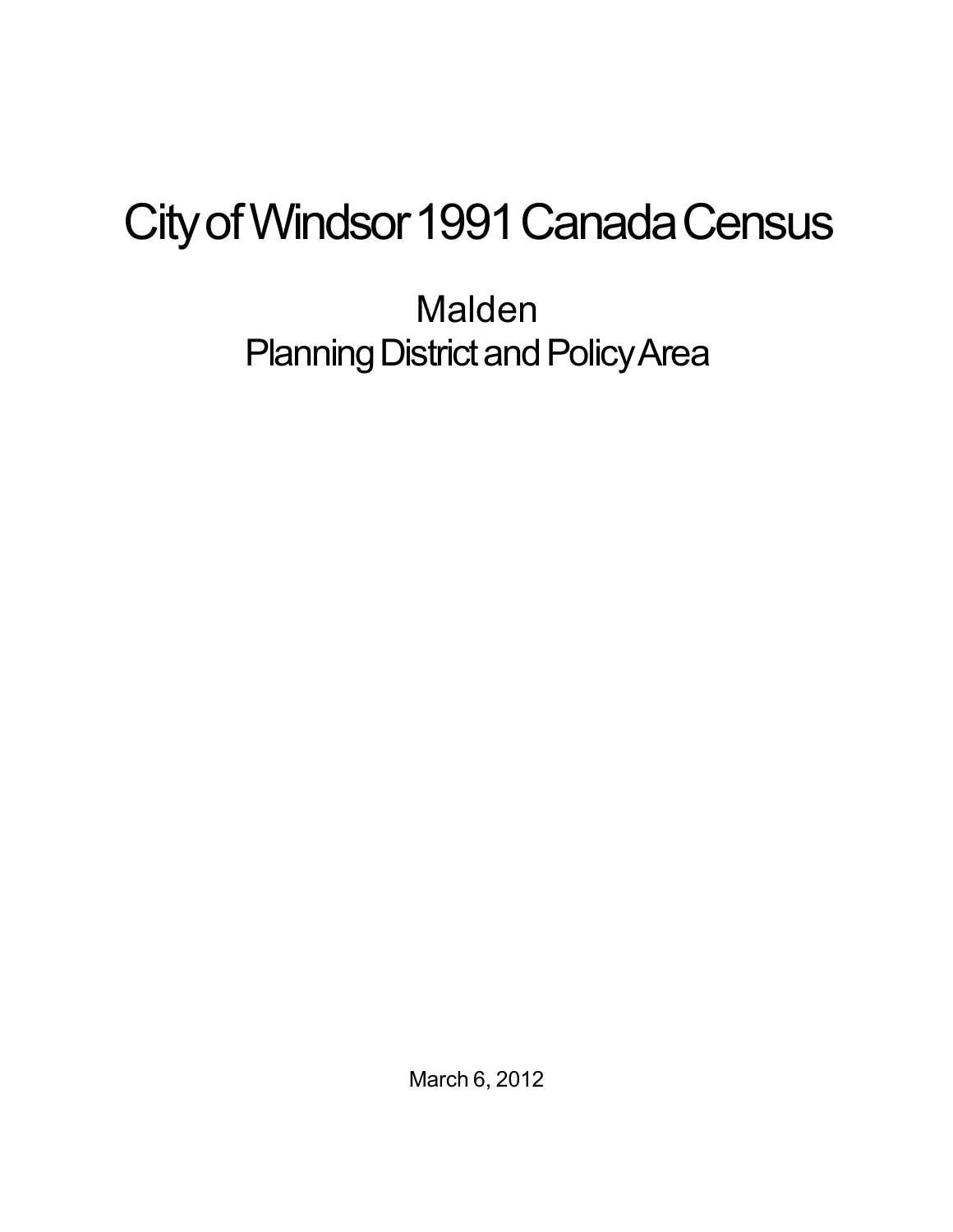## City of Windsor 1991 Canada Census

Malden Planning District and Policy Area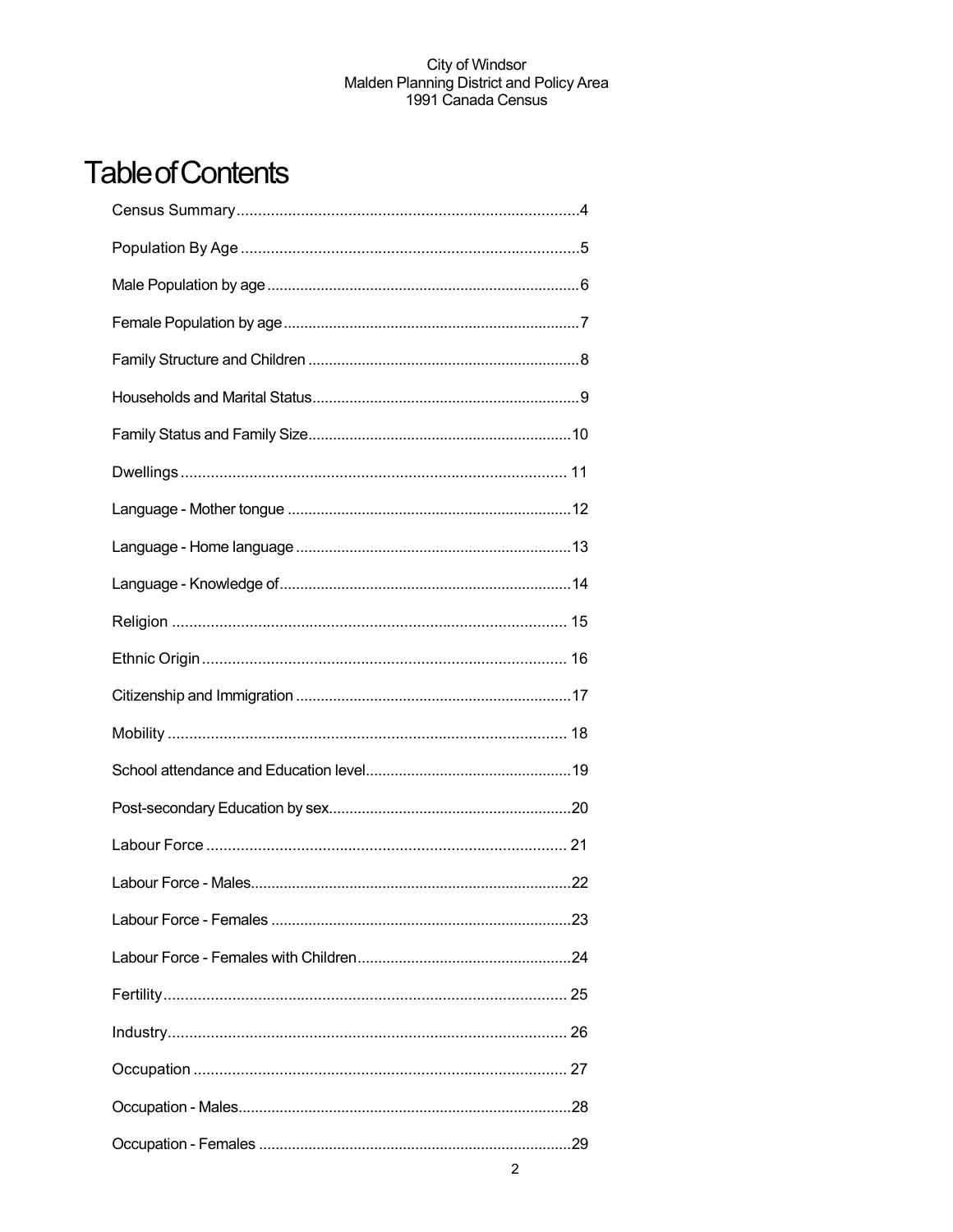## **Table of Contents**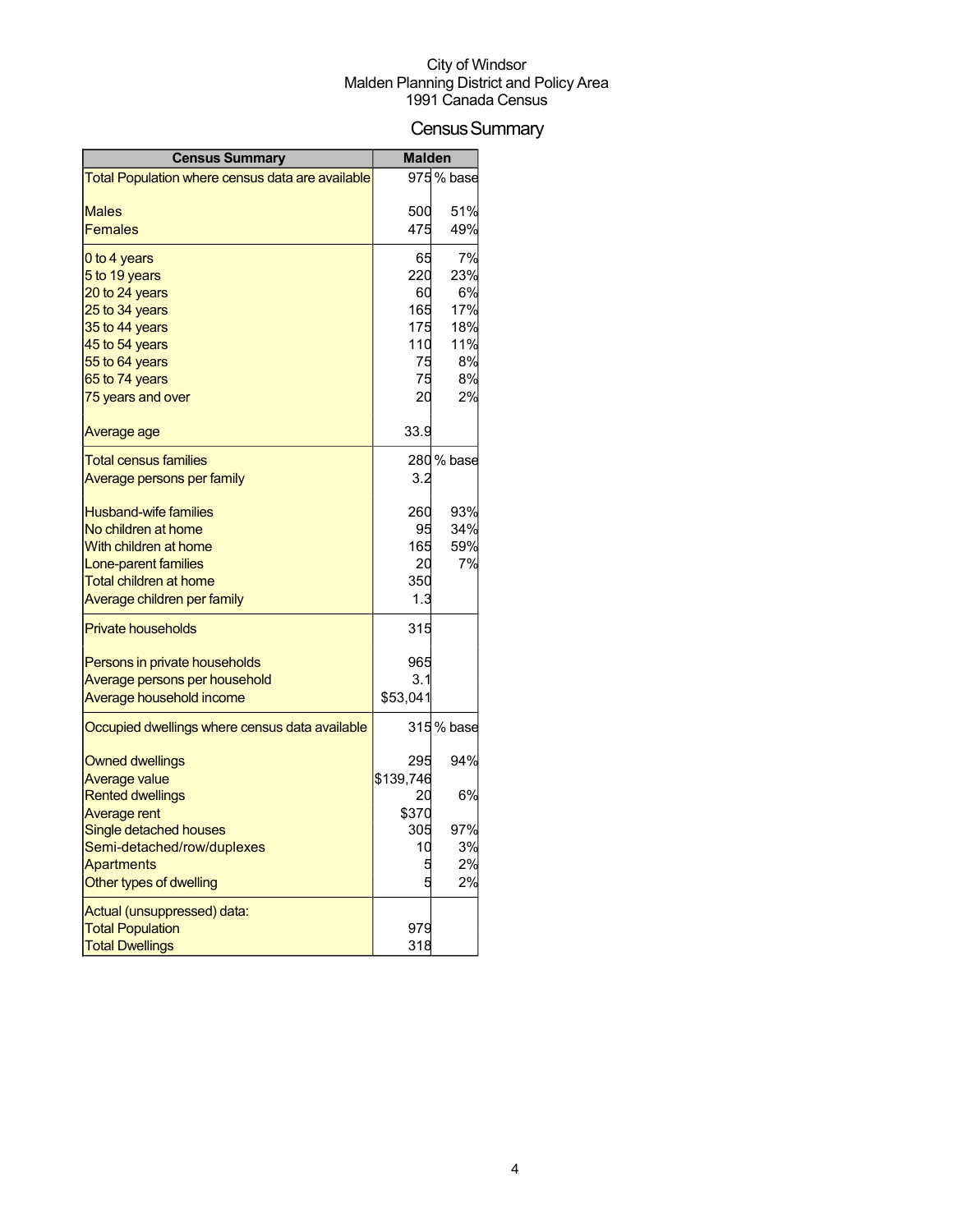## Census Summary

| <b>Census Summary</b>                            | <b>Malden</b> |                         |
|--------------------------------------------------|---------------|-------------------------|
| Total Population where census data are available |               | $\overline{975}$ % base |
|                                                  |               |                         |
| <b>Males</b>                                     | 500           | 51%                     |
| <b>Females</b>                                   | 475           | 49%                     |
| 0 to 4 years                                     | 65            | 7%                      |
| 5 to 19 years                                    | 220           | 23%                     |
| 20 to 24 years                                   | 60            | 6%                      |
| 25 to 34 years                                   | 165           | 17%                     |
| 35 to 44 years                                   | 175           | 18%                     |
| 45 to 54 years                                   | 110           | 11%                     |
| 55 to 64 years                                   | 75            | 8%                      |
| 65 to 74 years                                   | 75            | 8%                      |
| 75 years and over                                | 20            | 2%                      |
| Average age                                      | 33.9          |                         |
| <b>Total census families</b>                     |               | 280 % base              |
| <u>Average persons per family</u>                | 3.2           |                         |
| <b>Husband-wife families</b>                     | 260           | 93%                     |
| No children at home                              | 95            | 34%                     |
| With children at home                            | 165           | 59%                     |
| Lone-parent families                             | 20            | 7%                      |
| <b>Total children at home</b>                    | 350           |                         |
| Average children per family                      | 1.3           |                         |
| <b>Private households</b>                        | 315           |                         |
| Persons in private households                    | 965           |                         |
| Average persons per household                    | 3.1           |                         |
| Average household income                         | \$53,041      |                         |
| Occupied dwellings where census data available   |               | 315 % base              |
| <b>Owned dwellings</b>                           | 295           | 94%                     |
| Average value                                    | \$139,746     |                         |
| <b>Rented dwellings</b>                          | 20            | 6%                      |
| <b>Average rent</b>                              | \$370         |                         |
| <b>Single detached houses</b>                    | 305           | 97%                     |
| Semi-detached/row/duplexes                       | 10            | 3%                      |
| <b>Apartments</b>                                | 5             | 2%                      |
| Other types of dwelling                          |               | 2%                      |
| Actual (unsuppressed) data:                      |               |                         |
| <b>Total Population</b>                          | 979           |                         |
| <b>Total Dwellings</b>                           | 318           |                         |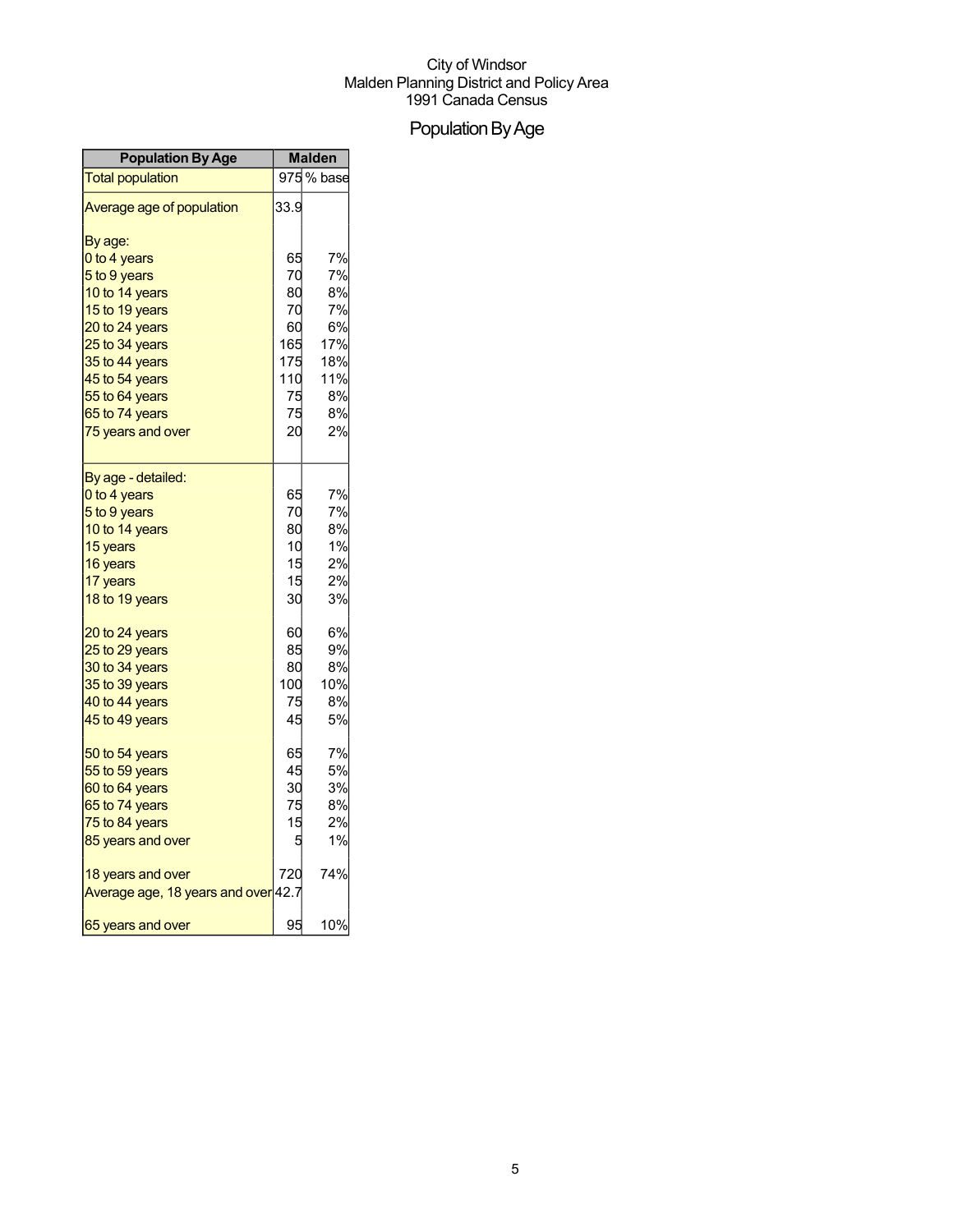## Population By Age

| <b>Population By Age</b>            | <b>Malden</b> |            |
|-------------------------------------|---------------|------------|
| <b>Total population</b>             |               | 975 % base |
| Average age of population           | 33.9          |            |
| By age:                             |               |            |
| 0 to 4 years                        | 65            | 7%         |
| 5 to 9 years                        | 70            | 7%         |
| 10 to 14 years                      | 80            | 8%         |
| 15 to 19 years                      | 70            | 7%         |
| 20 to 24 years                      | 60            | 6%         |
| 25 to 34 years                      | 165           | 17%        |
| 35 to 44 years                      | 175           | 18%        |
| 45 to 54 years                      | 110           | 11%        |
| 55 to 64 years                      | 75            | 8%         |
| 65 to 74 years                      | 75            | 8%         |
| 75 years and over                   | 20            | 2%         |
|                                     |               |            |
| By age - detailed:                  |               |            |
| 0 to 4 years                        | 65            | 7%         |
| 5 to 9 years                        | 70            | 7%         |
| 10 to 14 years                      | 80            | 8%         |
| 15 years                            | 10            | 1%         |
| 16 years                            | 15            | 2%         |
| 17 years                            | 15            | 2%         |
| 18 to 19 years                      | 30            | 3%         |
| 20 to 24 years                      | 60            | 6%         |
| 25 to 29 years                      | 85            | 9%         |
| 30 to 34 years                      | 80            | 8%         |
| 35 to 39 years                      | 100           | 10%        |
| 40 to 44 years                      | 75            | 8%         |
| 45 to 49 years                      | 45            | 5%         |
| 50 to 54 years                      | 65            | 7%         |
| 55 to 59 years                      | 45            | 5%         |
| 60 to 64 years                      | 30            | 3%         |
| 65 to 74 years                      | 75            | 8%         |
| 75 to 84 years                      | 15            | 2%         |
| 85 years and over                   | 5             | 1%         |
| 18 years and over                   | 720           | 74%        |
| Average age, 18 years and over 42.7 |               |            |
| 65 years and over                   | 95            | 10%        |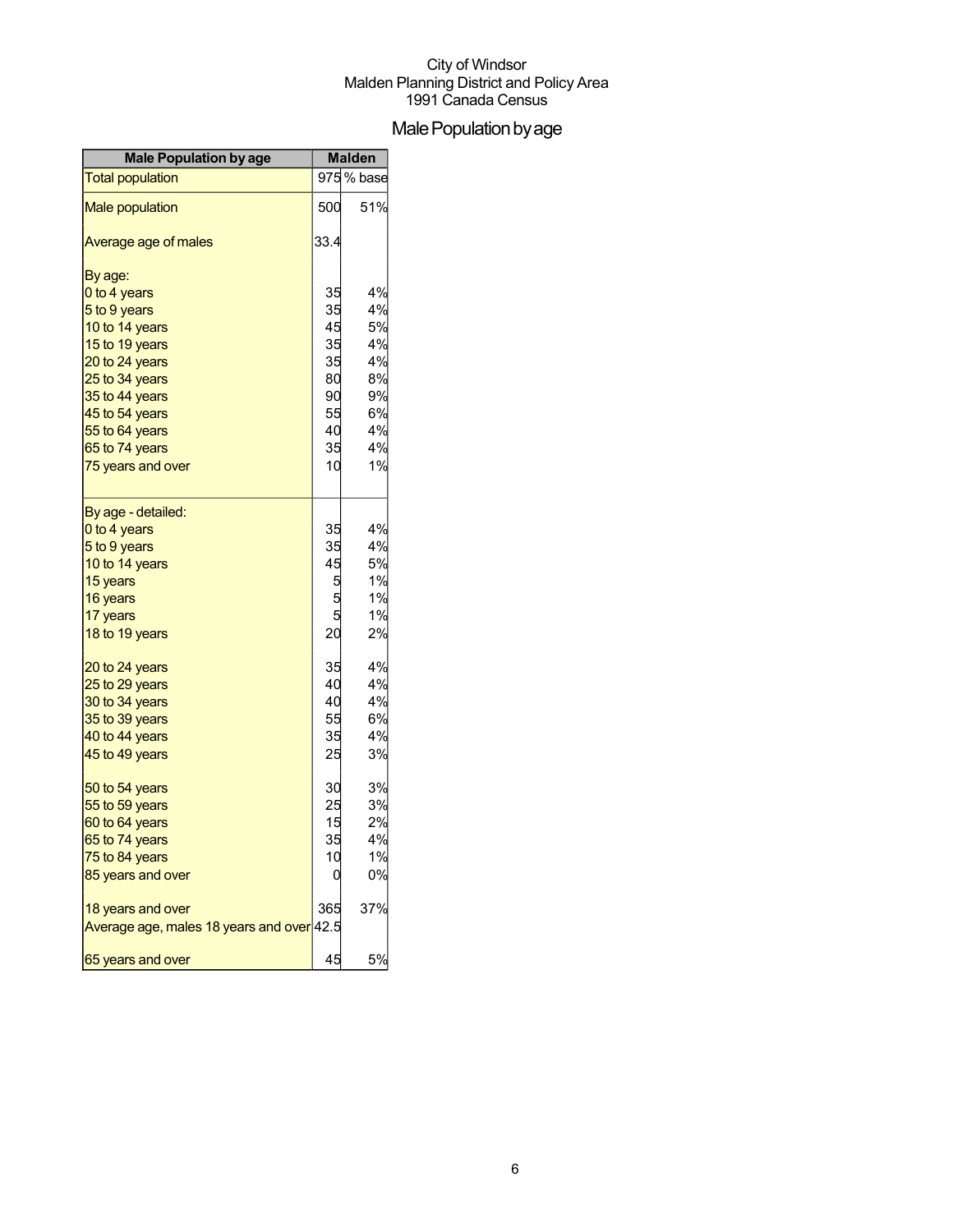## Male Population by age

| <b>Male Population by age</b>             | <b>Malden</b> |            |
|-------------------------------------------|---------------|------------|
| <b>Total population</b>                   |               | 975 % base |
| <b>Male population</b>                    | 500           | 51%        |
| Average age of males                      | 33.4          |            |
| By age:                                   |               |            |
| 0 to 4 years                              | 35            | 4%         |
| 5 to 9 years                              | 35            | 4%         |
| 10 to 14 years                            | 45            | 5%         |
| 15 to 19 years                            | 35            | 4%         |
| 20 to 24 years                            | 35            | 4%         |
| 25 to 34 years                            | 80            | 8%<br>9%   |
| 35 to 44 years                            | 90<br>55      | 6%         |
| 45 to 54 years<br>55 to 64 years          | 40            | 4%         |
| 65 to 74 years                            | 35            | 4%         |
| 75 years and over                         | 10            | 1%         |
|                                           |               |            |
| By age - detailed:                        |               |            |
| 0 to 4 years                              | 35            | 4%         |
| 5 to 9 years                              | 35            | 4%         |
| 10 to 14 years                            | 45            | 5%         |
| 15 years                                  | 5             | 1%         |
| 16 years                                  | 5             | 1%         |
| 17 years                                  | 5             | 1%         |
| 18 to 19 years                            | 20            | 2%         |
| 20 to 24 years                            | 35            | 4%         |
| 25 to 29 years                            | 40            | 4%         |
| 30 to 34 years                            | 40            | 4%         |
| 35 to 39 years                            | 55            | 6%         |
| 40 to 44 years                            | 35            | 4%         |
| 45 to 49 years                            | 25            | 3%         |
| 50 to 54 years                            | 30            | 3%         |
| 55 to 59 years                            | 25            | 3%         |
| 60 to 64 years                            | 15            | 2%         |
| 65 to 74 years                            | 35            | 4%         |
| 75 to 84 years                            | 10            | 1%         |
| 85 years and over                         | 0             | 0%         |
| 18 years and over                         | 365           | 37%        |
| Average age, males 18 years and over 42.5 |               |            |
| 65 years and over                         | 45            | 5%         |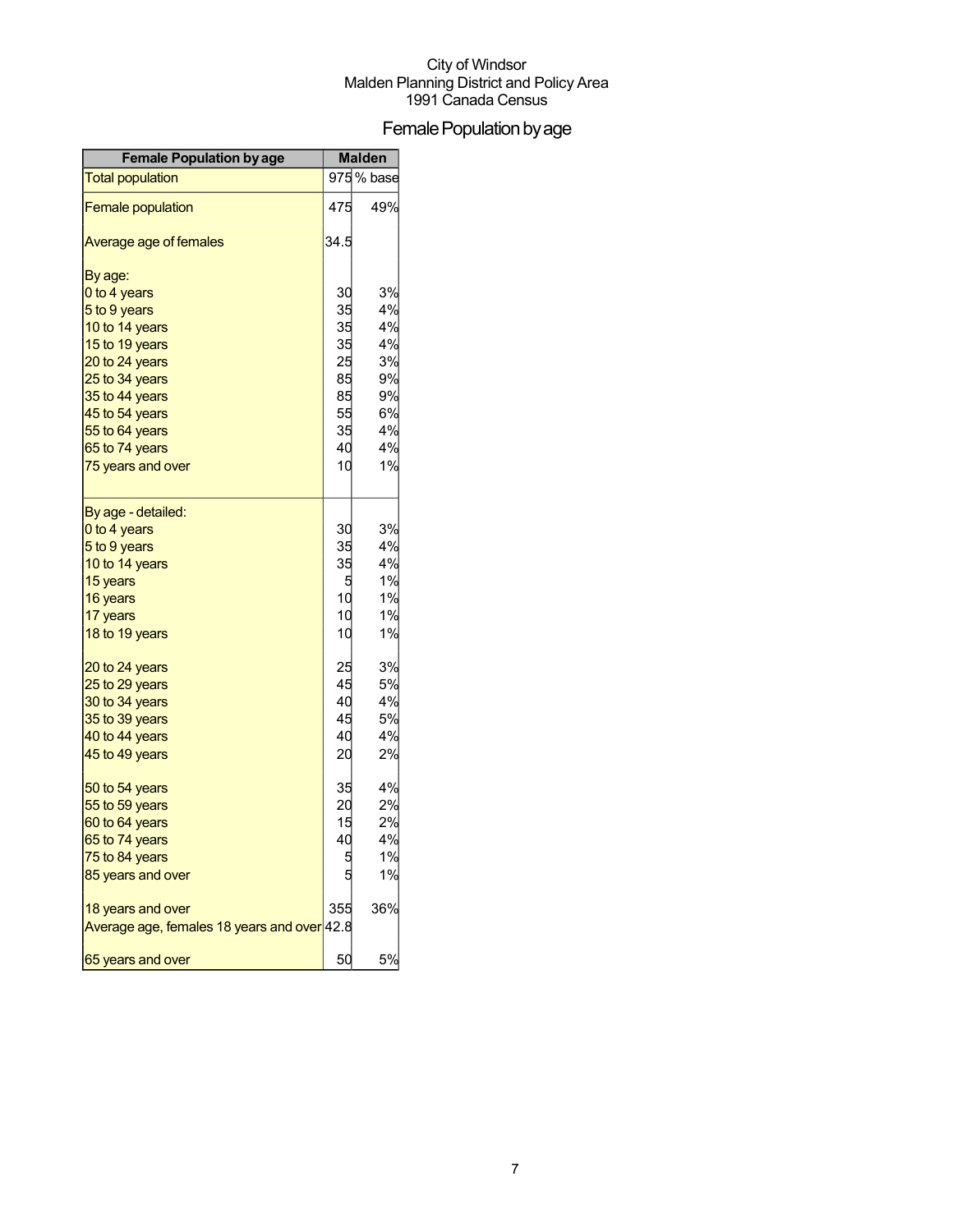## Female Population by age

| <b>Female Population by age</b>             | <b>Malden</b> |            |
|---------------------------------------------|---------------|------------|
| <b>Total population</b>                     |               | 975 % base |
| <b>Female population</b>                    | 475           | 49%        |
| Average age of females                      | 34.5          |            |
| By age:                                     |               |            |
| 0 to 4 years                                | 30            | 3%         |
| 5 to 9 years                                | 35            | 4%         |
| 10 to 14 years                              | 35            | 4%         |
| 15 to 19 years                              | 35            | 4%         |
| 20 to 24 years                              | 25            | 3%         |
| 25 to 34 years                              | 85            | 9%         |
| 35 to 44 years                              | 85            | 9%         |
| 45 to 54 years                              | 55            | 6%         |
| 55 to 64 years                              | 35            | 4%         |
| 65 to 74 years                              | 40            | 4%         |
| 75 years and over                           | 10            | 1%         |
| By age - detailed:                          |               |            |
| 0 to 4 years                                | 30            | 3%         |
| 5 to 9 years                                | 35            | 4%         |
| 10 to 14 years                              | 35            | 4%         |
| 15 years                                    | 5             | 1%         |
| 16 years                                    | 10            | 1%         |
| 17 years                                    | 10            | 1%         |
| 18 to 19 years                              | 10            | 1%         |
| 20 to 24 years                              | 25            | 3%         |
| 25 to 29 years                              | 45            | 5%         |
| 30 to 34 years                              | 40            | 4%         |
| 35 to 39 years                              | 45            | 5%         |
| 40 to 44 years                              | 40            | 4%         |
| 45 to 49 years                              | 20            | 2%         |
| 50 to 54 years                              | 35            | 4%         |
| 55 to 59 years                              | 20            | 2%         |
| 60 to 64 years                              | 15            | 2%         |
| 65 to 74 years                              | 40            | 4%         |
| 75 to 84 years                              |               | 1%         |
| 85 years and over                           |               | 1%         |
| 18 years and over                           | 355           | 36%        |
| Average age, females 18 years and over 42.8 |               |            |
| 65 years and over                           | 50            | 5%         |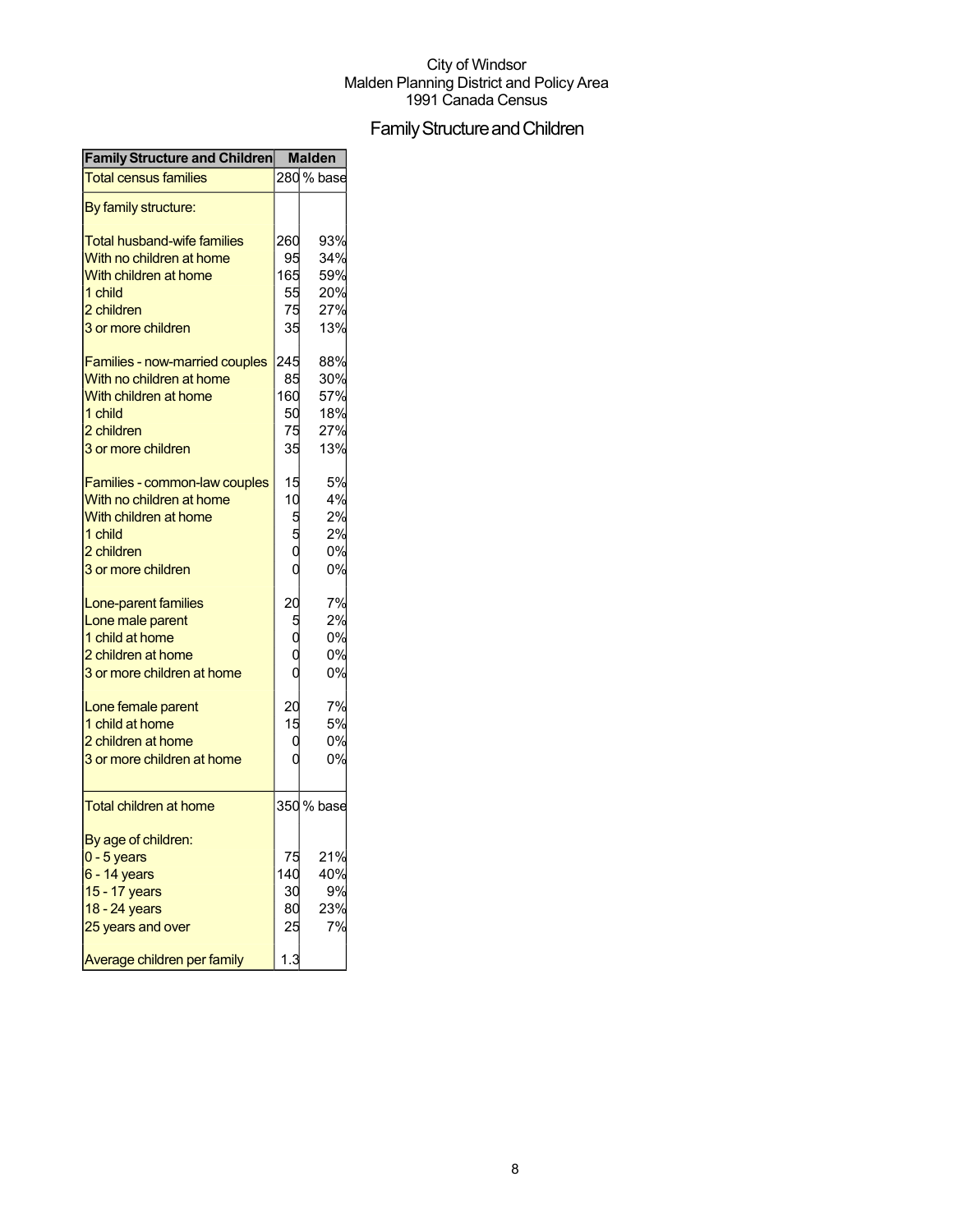## Family Structure and Children

| <b>Family Structure and Children</b> Malden |        |            |
|---------------------------------------------|--------|------------|
| <b>Total census families</b>                |        | 280% base  |
| By family structure:                        |        |            |
| <b>Total husband-wife families</b>          | 260    | 93%        |
| With no children at home                    | 95     | 34%        |
| With children at home                       | 165    | 59%        |
| 1 child                                     | 55     | 20%        |
| 2 children                                  | 75     | 27%        |
| 3 or more children                          | 35     | 13%        |
| Families - now-married couples              | 245    | 88%        |
| With no children at home                    | 85     | 30%        |
| With children at home                       | 160    | 57%        |
| 1 child                                     | 50     | 18%        |
| 2 children                                  | 75     | 27%        |
| 3 or more children                          | 35     | 13%        |
| Families - common-law couples               | 15     | 5%         |
| With no children at home                    | 10     | 4%         |
| With children at home                       |        | 2%         |
| 1 child                                     | 5<br>5 | 2%         |
| 2 children                                  |        | 0%         |
|                                             |        |            |
| 3 or more children                          |        | 0%         |
| Lone-parent families                        | 20     | 7%         |
| Lone male parent                            | 5      | 2%         |
| 1 child at home                             |        | 0%         |
| 2 children at home                          |        | 0%         |
| 3 or more children at home                  |        | 0%         |
| Lone female parent                          | 20     | 7%         |
| 1 child at home                             | 15     | 5%         |
| 2 children at home                          | 0      | 0%         |
| 3 or more children at home                  |        | 0%         |
| <b>Total children at home</b>               |        | 350 % base |
| By age of children:                         |        |            |
| $0 - 5$ years                               | 75     | 21%        |
| 6 - 14 years                                | 140    | 40%        |
| 15 - 17 years                               | 30     | 9%         |
| 18 - 24 years                               | 80     | 23%        |
|                                             |        |            |
| 25 years and over                           | 25     | 7%         |
| Average children per family                 | 1.3    |            |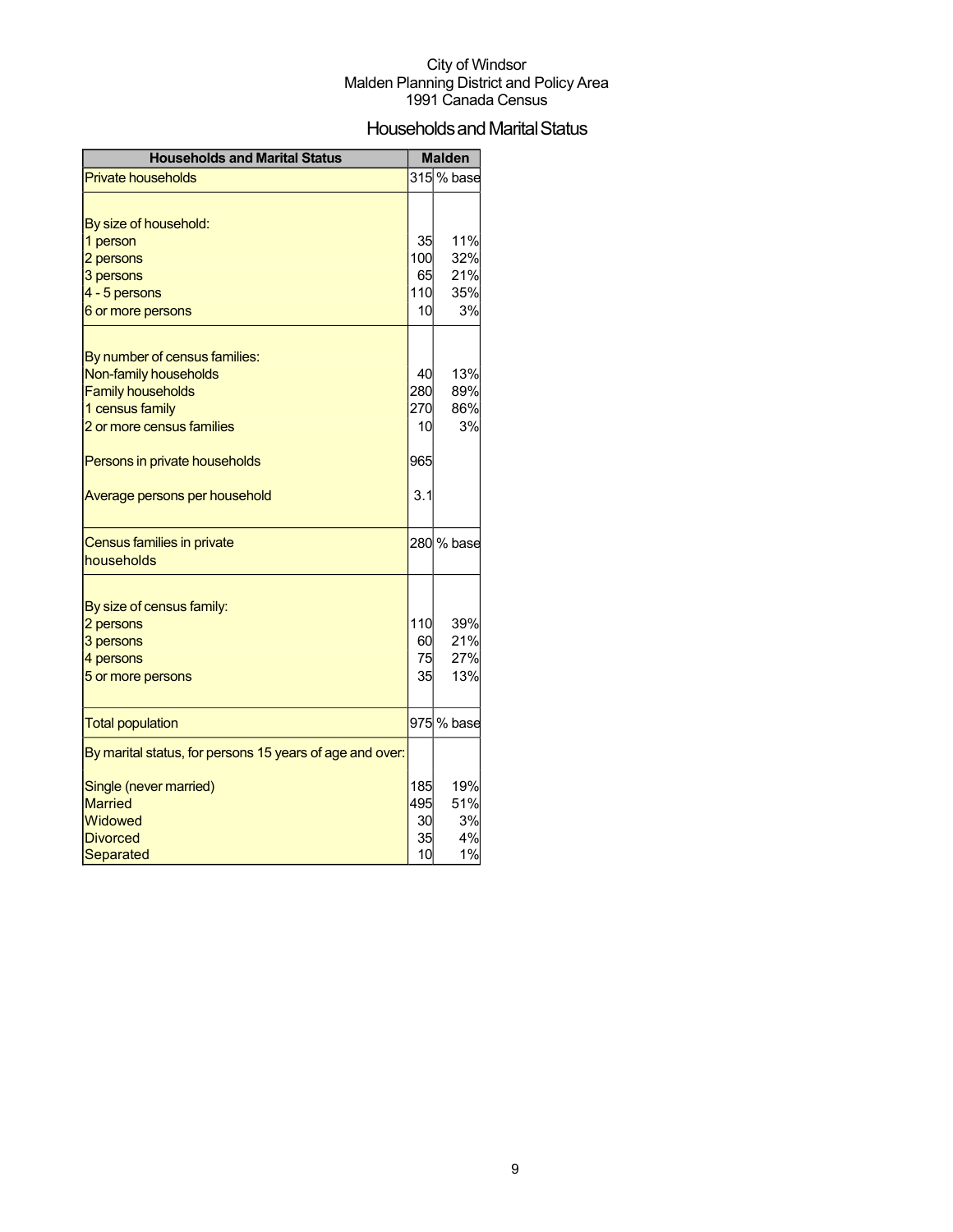## Households and Marital Status

| <b>Households and Marital Status</b>                     |     | <b>Malden</b> |
|----------------------------------------------------------|-----|---------------|
| <b>Private households</b>                                |     | 315 % base    |
|                                                          |     |               |
| By size of household:                                    |     |               |
| 1 person                                                 | 35  | 11%           |
| 2 persons                                                | 100 | 32%           |
| 3 persons                                                | 65  | 21%           |
| 4 - 5 persons                                            | 110 | 35%           |
| 6 or more persons                                        | 10  | 3%            |
|                                                          |     |               |
| By number of census families:                            |     |               |
| Non-family households                                    | 40  | 13%           |
| <b>Family households</b>                                 | 280 | 89%           |
| 1 census family                                          | 270 | 86%           |
| 2 or more census families                                | 10  | 3%            |
| Persons in private households                            | 965 |               |
| Average persons per household                            | 3.1 |               |
| Census families in private                               |     | 280 % base    |
| households                                               |     |               |
|                                                          |     |               |
| By size of census family:                                |     |               |
| 2 persons                                                | 110 | 39%           |
| 3 persons                                                | 60  | 21%           |
| 4 persons                                                | 75  | 27%           |
| 5 or more persons                                        | 35  | 13%           |
| <b>Total population</b>                                  |     | 975 % base    |
| By marital status, for persons 15 years of age and over: |     |               |
| Single (never married)                                   | 185 | 19%           |
| <b>Married</b>                                           | 495 | 51%           |
| Widowed                                                  | 30  | 3%            |
| <b>Divorced</b>                                          | 35  | 4%            |
| Separated                                                | 10  | 1%            |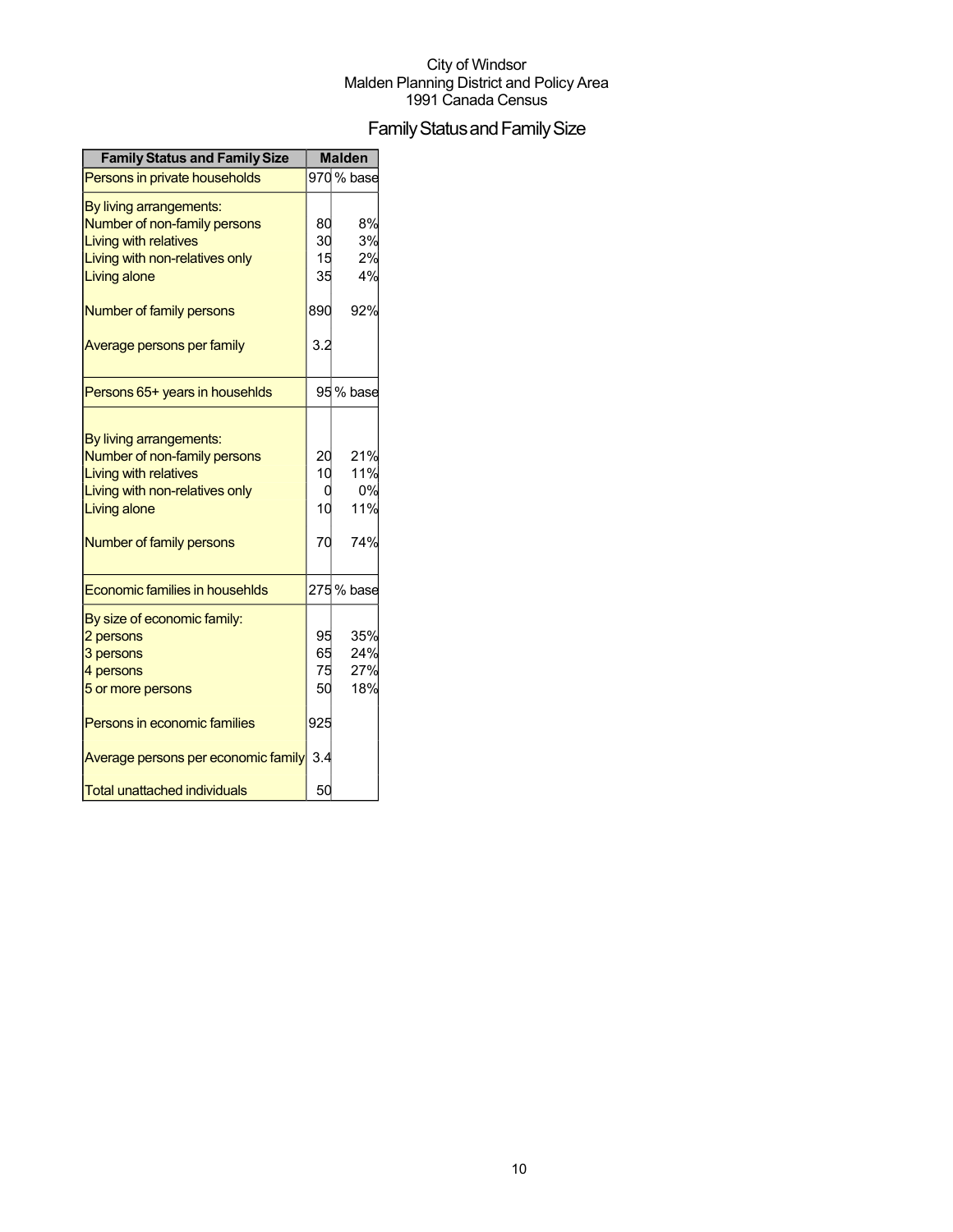## Family Status and Family Size

| <b>Family Status and Family Size</b>                                                                                                                                         |                      | <b>Malden</b>                  |
|------------------------------------------------------------------------------------------------------------------------------------------------------------------------------|----------------------|--------------------------------|
| Persons in private households                                                                                                                                                |                      | 970 % base                     |
| By living arrangements:<br>Number of non-family persons<br><b>Living with relatives</b><br>Living with non-relatives only<br><b>Living alone</b>                             | 80<br>30<br>15<br>35 | 8%<br>3%<br>2%<br>4%           |
| Number of family persons                                                                                                                                                     | 890                  | 92%                            |
| Average persons per family                                                                                                                                                   | 3.2                  |                                |
| Persons 65+ years in househlds                                                                                                                                               |                      | 95 % base                      |
| By living arrangements:<br>Number of non-family persons<br><b>Living with relatives</b><br>Living with non-relatives only<br><b>Living alone</b><br>Number of family persons | 20<br>10<br>10<br>70 | 21%<br>11%<br>0%<br>11%<br>74% |
| Economic families in househlds                                                                                                                                               |                      | 275 % base                     |
| By size of economic family:<br>2 persons<br>3 persons<br>4 persons<br>5 or more persons                                                                                      | 95<br>65<br>75<br>50 | 35%<br>24%<br>27%<br>18%       |
| Persons in economic families                                                                                                                                                 | 925                  |                                |
| Average persons per economic family<br><b>Total unattached individuals</b>                                                                                                   | 3.4<br>50            |                                |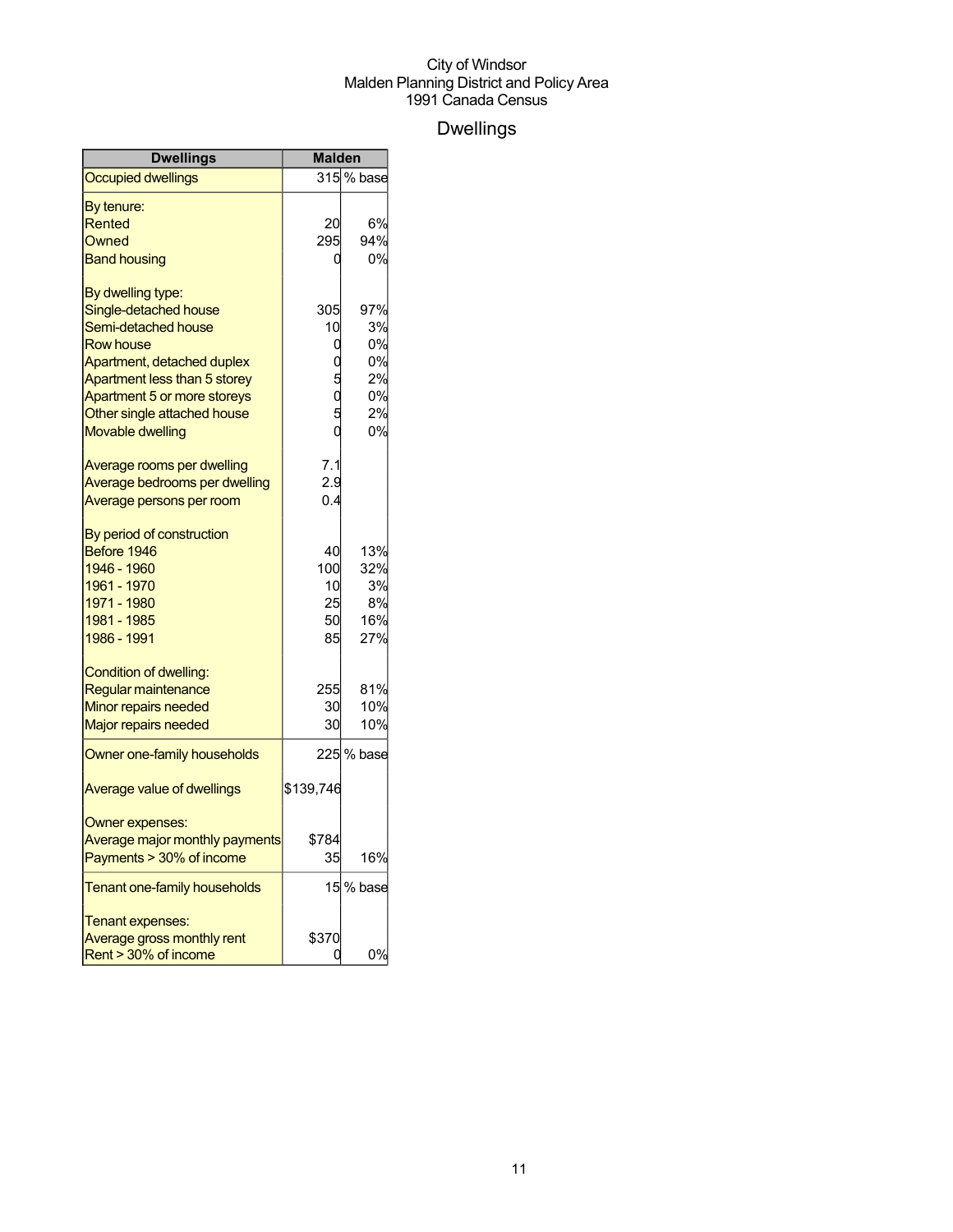## Dwellings

| Dwellings                      | <b>Malden</b> |            |
|--------------------------------|---------------|------------|
| <b>Occupied dwellings</b>      |               | 315 % base |
| By tenure:                     |               |            |
| Rented                         | 20            | 6%         |
| Owned                          | 295           | 94%        |
| <b>Band housing</b>            | 0             | 0%         |
| By dwelling type:              |               |            |
| Single-detached house          | 305           | 97%        |
| Semi-detached house            | 10            | 3%         |
| <b>Row house</b>               | 0             | 0%         |
| Apartment, detached duplex     |               | 0%         |
| Apartment less than 5 storey   |               | 2%         |
| Apartment 5 or more storeys    |               | 0%         |
| Other single attached house    |               | 2%         |
| <b>Movable dwelling</b>        |               | 0%         |
| Average rooms per dwelling     | 7.1           |            |
| Average bedrooms per dwelling  | 2.9           |            |
| Average persons per room       | 0.4           |            |
| By period of construction      |               |            |
| Before 1946                    | 40            | 13%        |
| 1946 - 1960                    | 100           | 32%        |
| 1961 - 1970                    | 10            | 3%         |
| 1971 - 1980                    | 25            | 8%         |
| 1981 - 1985                    | 50            | 16%        |
| 1986 - 1991                    | 85            | 27%        |
| Condition of dwelling:         |               |            |
| Regular maintenance            | 255           | 81%        |
| Minor repairs needed           | 30            | 10%        |
| <b>Major repairs needed</b>    | 30            | 10%        |
| Owner one-family households    |               | 225 % base |
| Average value of dwellings     | \$139,746     |            |
| Owner expenses:                |               |            |
| Average major monthly payments | \$784         |            |
| Payments > 30% of income       | 35            | 16%        |
| Tenant one-family households   |               | 15 % base  |
| Tenant expenses:               |               |            |
| Average gross monthly rent     | \$370         |            |
| Rent > 30% of income           | ი             | 0%         |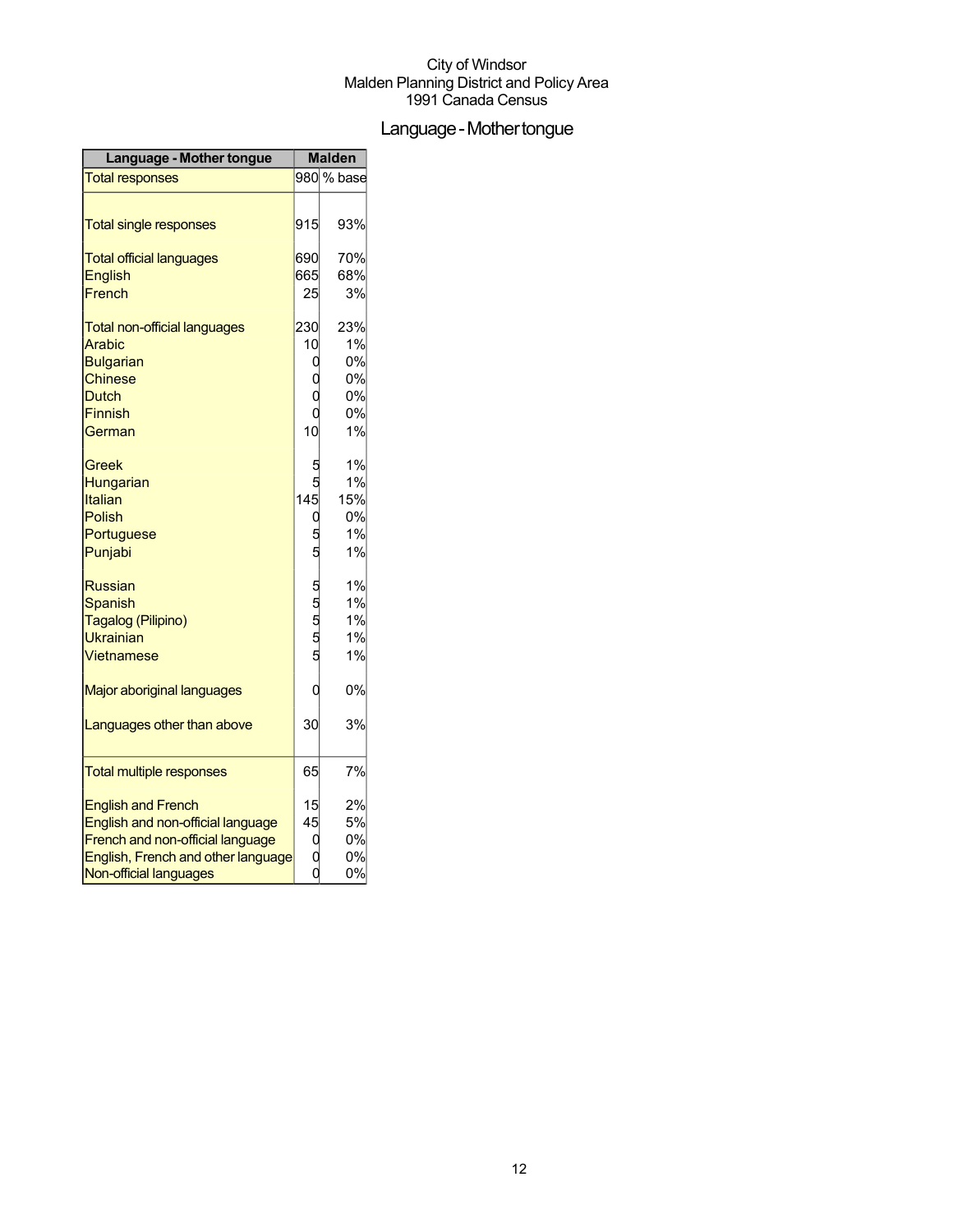## Language - Mother tongue

| <b>Language - Mother tongue</b>     |            | <b>Malden</b> |
|-------------------------------------|------------|---------------|
| <b>Total responses</b>              |            | 980 % base    |
|                                     |            |               |
| <b>Total single responses</b>       | 915        | 93%           |
| <b>Total official languages</b>     | 690        | 70%           |
| <b>English</b>                      | 665        | 68%           |
| French                              | 25         | 3%            |
| <b>Total non-official languages</b> | 230        | 23%           |
| Arabic                              | 10         | 1%            |
| <b>Bulgarian</b>                    | 0          | 0%            |
| <b>Chinese</b>                      |            | 0%            |
| <b>Dutch</b>                        |            | 0%            |
| <b>Finnish</b>                      |            | 0%            |
| German                              | 10         | 1%            |
| Greek                               |            | 1%            |
| Hungarian                           |            | 1%            |
| Italian                             | 145        | 15%           |
| <b>Polish</b>                       |            | 0%            |
| Portuguese                          |            | 1%            |
| Punjabi                             |            | 1%            |
| <b>Russian</b>                      |            | 1%            |
| <b>Spanish</b>                      |            | 1%            |
| Tagalog (Pilipino)                  | ភ ជា ជា ជា | 1%            |
| Ukrainian                           |            | 1%            |
| Vietnamese                          |            | 1%            |
| Major aboriginal languages          | C          | 0%            |
| Languages other than above          | 30         | 3%            |
| <b>Total multiple responses</b>     | 65         | 7%            |
| <b>English and French</b>           | 15         | 2%            |
| English and non-official language   | 45         | 5%            |
| French and non-official language    | O          | 0%            |
| English, French and other language  |            | 0%            |
| Non-official languages              |            | 0%            |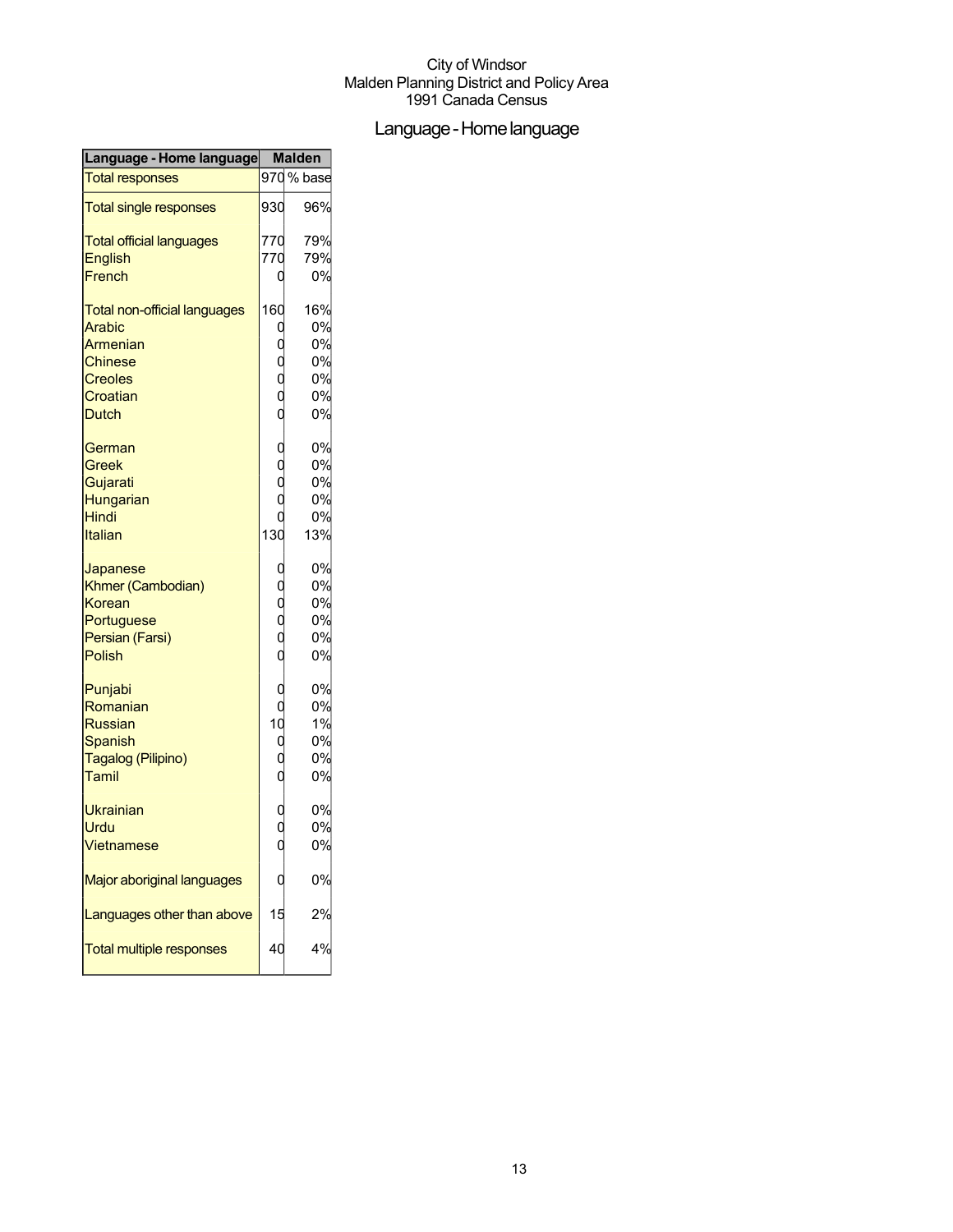## Language-Homelanguage

| Language - Home language            | <b>Malden</b>                                 |        |
|-------------------------------------|-----------------------------------------------|--------|
| <b>Total responses</b>              | 970                                           | % base |
| <b>Total single responses</b>       | 930                                           | 96%    |
| <b>Total official languages</b>     | 770                                           | 79%    |
| <b>English</b>                      | 770                                           | 79%    |
| French                              | 0                                             | 0%     |
| <b>Total non-official languages</b> | 160                                           | 16%    |
| <b>Arabic</b>                       | O                                             | 0%     |
| Armenian                            |                                               | 0%     |
| <b>Chinese</b>                      | oooo                                          | 0%     |
| <b>Creoles</b>                      |                                               | 0%     |
| Croatian                            |                                               | 0%     |
| <b>Dutch</b>                        |                                               | 0%     |
| German                              | $\begin{smallmatrix}0\\0\\0\end{smallmatrix}$ | 0%     |
| Greek                               |                                               | 0%     |
| Gujarati                            |                                               | 0%     |
| Hungarian                           |                                               | 0%     |
| Hindi                               |                                               | 0%     |
| Italian                             | 130                                           | 13%    |
| Japanese                            |                                               | 0%     |
| Khmer (Cambodian)                   |                                               | 0%     |
| Korean                              | o<br>o<br>o<br>o<br>o                         | 0%     |
| Portuguese                          |                                               | 0%     |
| Persian (Farsi)                     |                                               | 0%     |
| <b>Polish</b>                       |                                               | 0%     |
| Punjabi                             | O                                             | 0%     |
| Romanian                            | $\overline{0}$                                | 0%     |
| <b>Russian</b>                      | 10                                            | 1%     |
| Spanish                             | $\begin{smallmatrix}0\0\0\end{smallmatrix}$   | 0%     |
| Tagalog (Pilipino)                  |                                               | 0%     |
| Tamil                               |                                               | 0%     |
| Ukrainian                           |                                               | 0%     |
| Urdu                                | 0<br>0                                        | 0%     |
| Vietnamese                          | $\frac{1}{\alpha}$                            | 0%     |
| Major aboriginal languages          |                                               | 0%     |
| Languages other than above          | 15                                            | 2%     |
| <b>Total multiple responses</b>     | 40                                            | 4%     |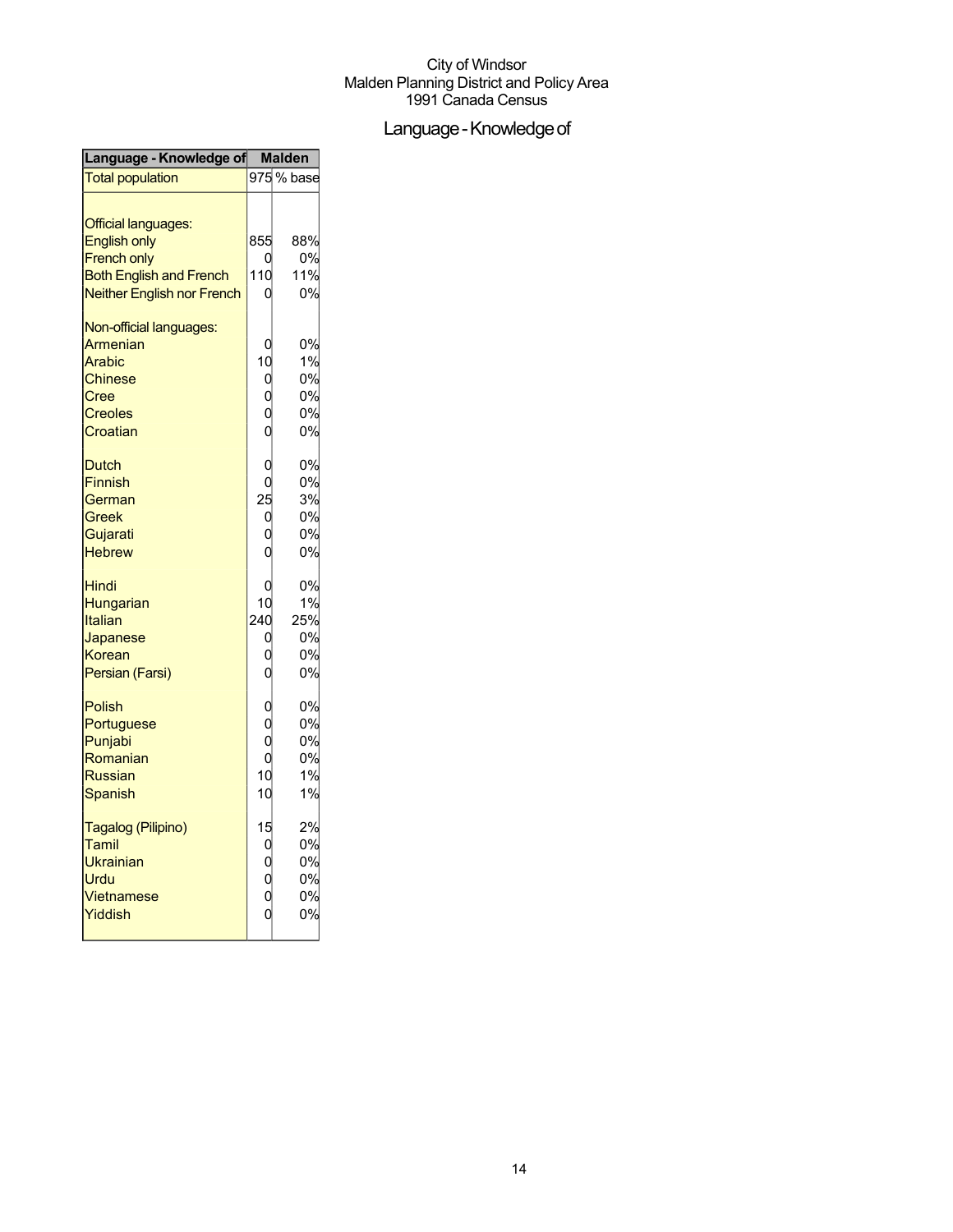## Language - Knowledge of

| Language - Knowledge of        | <b>Malden</b>                                     |            |
|--------------------------------|---------------------------------------------------|------------|
| <b>Total population</b>        |                                                   | 975 % base |
| Official languages:            |                                                   |            |
| <b>English only</b>            | 855                                               | 88%        |
| <b>French only</b>             |                                                   | 0%         |
| <b>Both English and French</b> | 110                                               | 11%        |
| Neither English nor French     |                                                   | 0%         |
| Non-official languages:        |                                                   |            |
| Armenian                       |                                                   | 0%         |
| Arabic                         | 10                                                | 1%         |
| <b>Chinese</b>                 |                                                   | 0%         |
| Cree                           |                                                   | 0%         |
| <b>Creoles</b>                 |                                                   | 0%         |
| Croatian                       | 0<br>0<br>0<br>0                                  | 0%         |
| <b>Dutch</b>                   | O                                                 | 0%         |
| <b>Finnish</b>                 | O                                                 | 0%         |
| German                         |                                                   | 3%         |
| Greek                          |                                                   | 0%         |
| Gujarati                       |                                                   | 0%         |
| <b>Hebrew</b>                  | $\begin{bmatrix} 25 \\ 0 \\ 0 \\ 0 \end{bmatrix}$ | 0%         |
|                                |                                                   |            |
| Hindi                          |                                                   | 0%         |
| Hungarian                      | 10                                                | 1%         |
| Italian                        | 240                                               | 25%        |
| Japanese                       |                                                   | 0%         |
| Korean                         |                                                   | 0%         |
| Persian (Farsi)                | 0<br>0<br>0                                       | 0%         |
| <b>Polish</b>                  | $\begin{matrix}0\0\0\end{matrix}$                 | 0%         |
| Portuguese                     |                                                   | 0%         |
| Punjabi                        |                                                   | 0%         |
| Romanian                       | $\overline{0}$                                    | 0%         |
| <b>Russian</b>                 | 10                                                | 1%         |
| Spanish                        | 10                                                | 1%         |
| Tagalog (Pilipino)             | 15                                                | 2%         |
| Tamil                          |                                                   | 0%         |
| Ukrainian                      |                                                   | 0%         |
| Urdu                           |                                                   | 0%         |
| Vietnamese                     | 0<br>0<br>0<br>0<br>0                             | 0%         |
| Yiddish                        |                                                   | 0%         |
|                                |                                                   |            |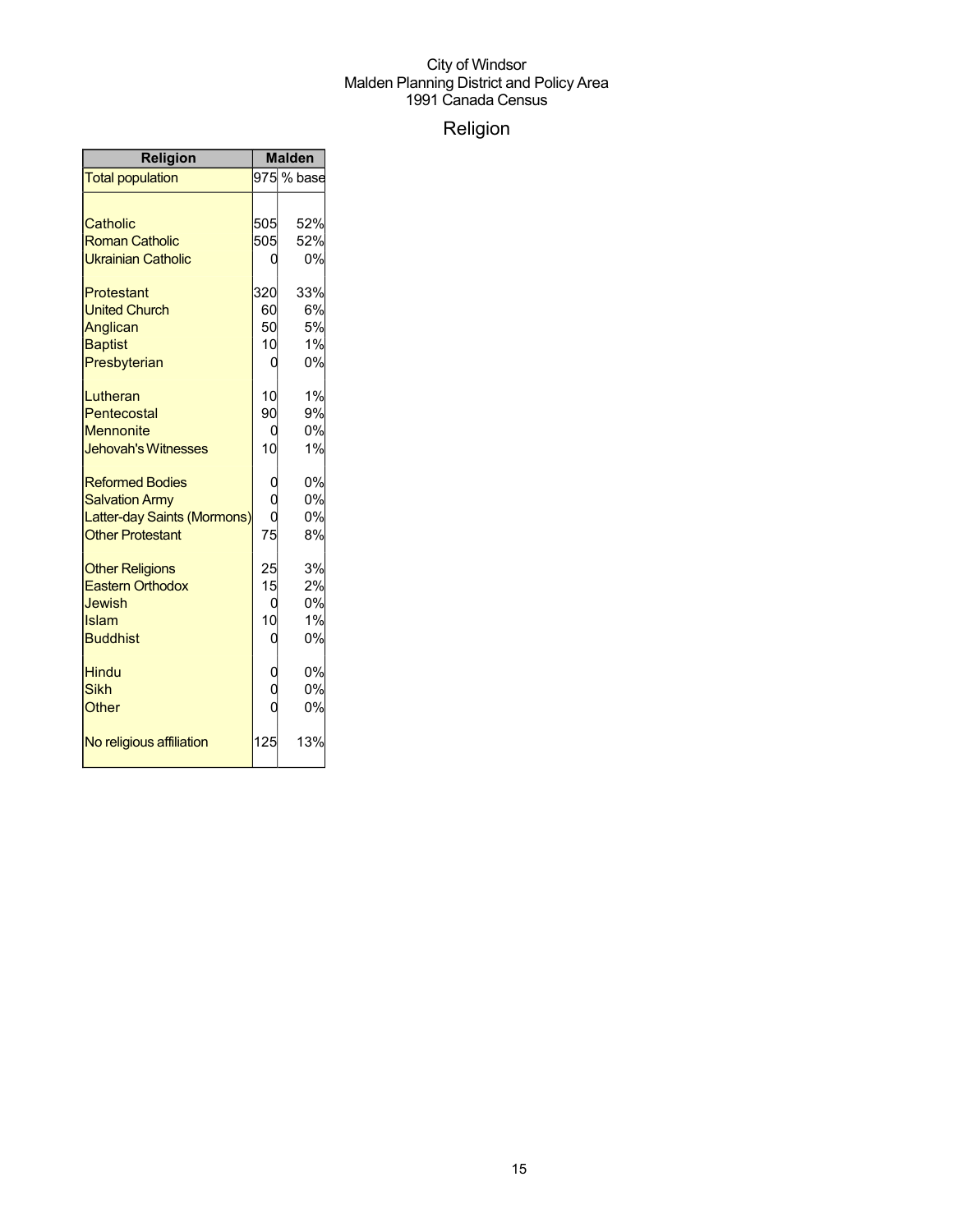## Religion

| <b>Religion</b>             | <b>Malden</b> |            |
|-----------------------------|---------------|------------|
| <b>Total population</b>     |               | 975 % base |
|                             |               |            |
| Catholic                    | 505l          | 52%        |
| <b>Roman Catholic</b>       | 505           | 52%        |
| <b>Ukrainian Catholic</b>   |               | 0%         |
| Protestant                  | 320           | 33%        |
| <b>United Church</b>        | 60            | 6%         |
| Anglican                    | 50            | 5%         |
| <b>Baptist</b>              | 10            | 1%         |
| Presbyterian                | 0             | 0%         |
| Lutheran                    | 10            | 1%         |
| Pentecostal                 | 90            | 9%         |
| <b>Mennonite</b>            | 0             | 0%         |
| <b>Jehovah's Witnesses</b>  | 10            | 1%         |
| <b>Reformed Bodies</b>      | 0             | 0%         |
| <b>Salvation Army</b>       | $\rm\dot{0}$  | 0%         |
| Latter-day Saints (Mormons) |               | 0%         |
| <b>Other Protestant</b>     | 75            | 8%         |
| <b>Other Religions</b>      | 25            | 3%         |
| <b>Eastern Orthodox</b>     | 15            | 2%         |
| Jewish                      | ი             | 0%         |
| Islam                       | 10            | 1%         |
| <b>Buddhist</b>             | 0             | 0%         |
| <b>Hindu</b>                | 0             | 0%         |
| <b>Sikh</b>                 | $\rm\dot{0}$  | 0%         |
| <b>Other</b>                |               | 0%         |
| No religious affiliation    | 125           | 13%        |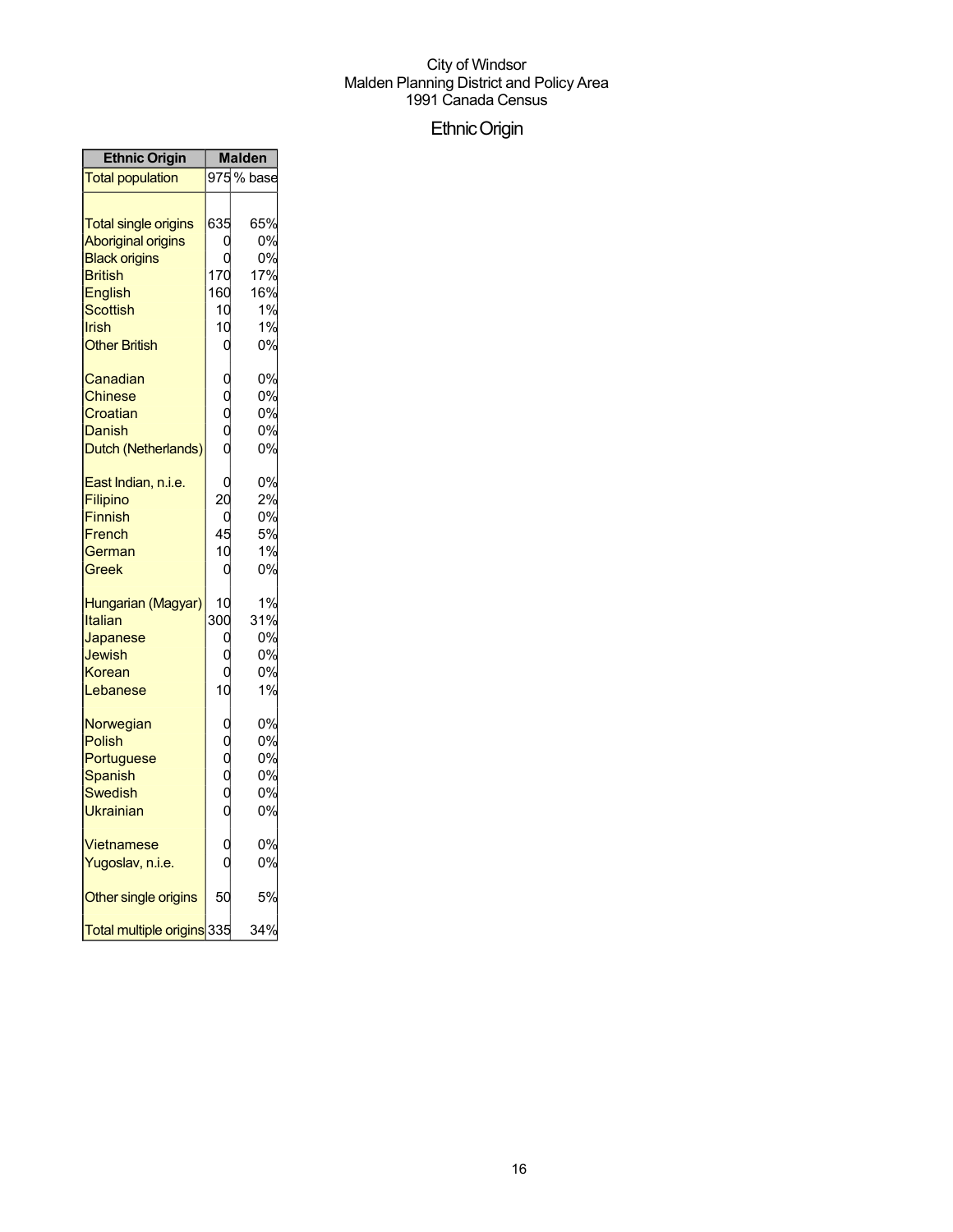## EthnicOrigin

| <b>Ethnic Origin</b>                                                                                                                                              | <b>Malden</b>                                               |                                                 |
|-------------------------------------------------------------------------------------------------------------------------------------------------------------------|-------------------------------------------------------------|-------------------------------------------------|
| <b>Total population</b>                                                                                                                                           |                                                             | 975% base                                       |
| <b>Total single origins</b><br><b>Aboriginal origins</b><br><b>Black origins</b><br><b>British</b><br><b>English</b><br>Scottish<br>Irish<br><b>Other British</b> | 635<br>ſ<br>170<br>160<br>10<br>10<br>0                     | 65%<br>0%<br>0%<br>17%<br>16%<br>1%<br>1%<br>0% |
| Canadian<br><b>Chinese</b><br>Croatian<br>Danish<br>Dutch (Netherlands)                                                                                           | 0<br>0<br>$\begin{smallmatrix} 0 \ 0 \ 0 \end{smallmatrix}$ | 0%<br>0%<br>0%<br>0%<br>0%                      |
| <u>East Indian, n.i.e.</u><br><b>Filipino</b><br>Finnish<br>French<br>German<br>Greek                                                                             | C<br>$\overline{20}$<br>C<br>45<br>10<br>0                  | 0%<br>2%<br>0%<br>5%<br>1%<br>0%                |
| Hungarian (Magyar)<br>Italian<br>Japanese<br>Jewish<br>Korean<br>Lebanese                                                                                         | 10<br>300<br>C<br>10                                        | 1%<br>31%<br>0%<br>0%<br>0%<br>1%               |
| Norwegian<br>Polish<br>Portuguese<br><b>Spanish</b><br>Swedish<br>Ukrainian                                                                                       | o<br>o<br>o<br>o<br>o                                       | 0%<br>0%<br>0%<br>0%<br>0%<br>0%                |
| Vietnamese<br>Yugoslav, n.i.e.                                                                                                                                    | C                                                           | 0%<br>0%                                        |
| Other single origins                                                                                                                                              | 50                                                          | 5%                                              |
| Total multiple origins 335                                                                                                                                        |                                                             | 34%                                             |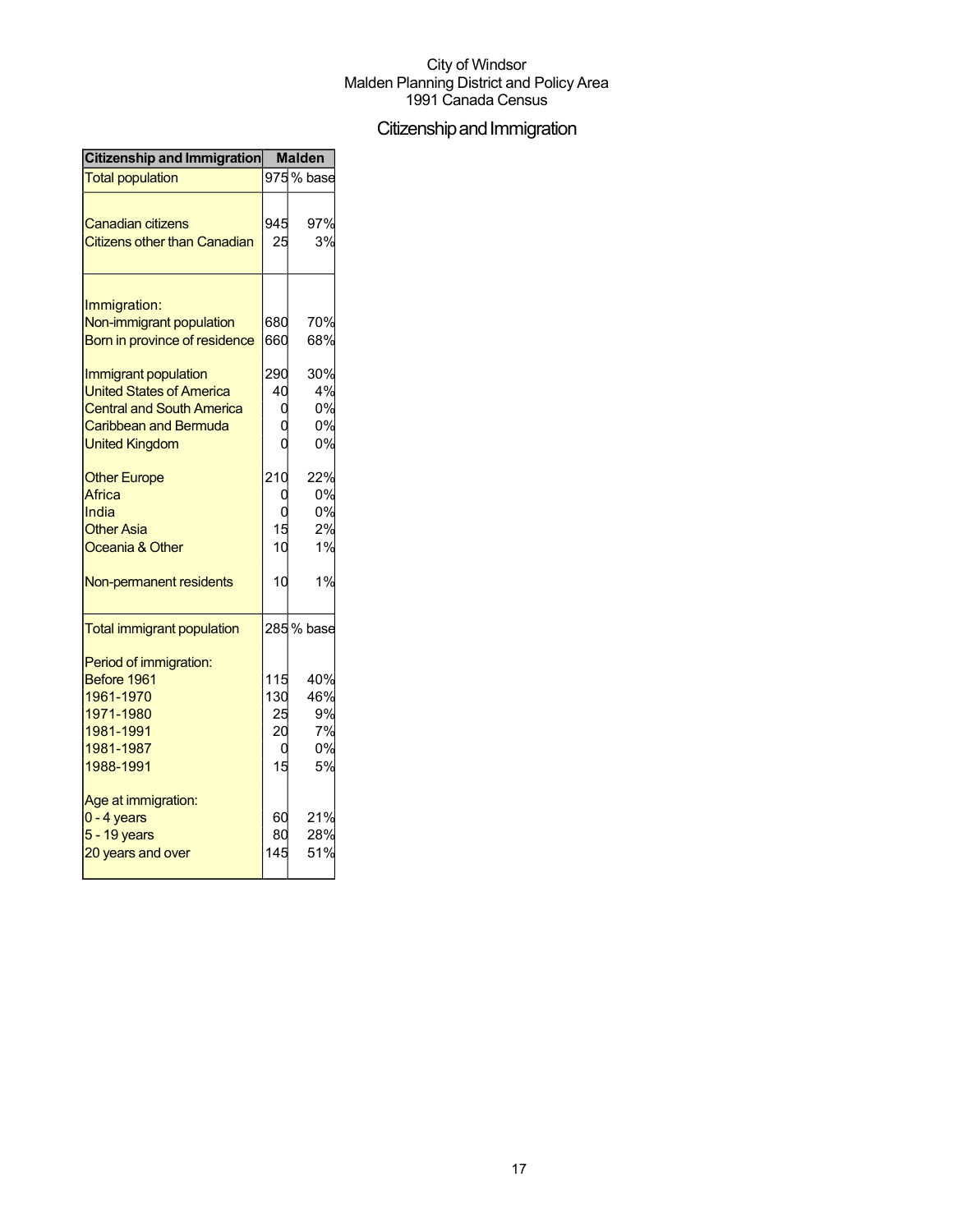## Citizenship and Immigration

| Citizenship and Immigration         | <b>Malden</b> |            |
|-------------------------------------|---------------|------------|
| <b>Total population</b>             |               | 975% base  |
|                                     |               |            |
| <b>Canadian citizens</b>            | 945           | 97%        |
| <b>Citizens other than Canadian</b> | 25            | 3%         |
| Immigration:                        |               |            |
| Non-immigrant population            | 680           | 70%        |
| Born in province of residence       | 660           | 68%        |
|                                     |               |            |
| Immigrant population                | 290           | 30%        |
| <b>United States of America</b>     | 40            | 4%         |
| <b>Central and South America</b>    |               | 0%         |
| Caribbean and Bermuda               |               | 0%         |
| <b>United Kingdom</b>               |               | 0%         |
| <b>Other Europe</b>                 | 210           | 22%        |
| Africa                              |               | 0%         |
| India                               |               | 0%         |
| <b>Other Asia</b>                   | 15            | 2%         |
| Oceania & Other                     | 10            | 1%         |
| Non-permanent residents             | 10            | 1%         |
| <b>Total immigrant population</b>   |               | 285 % base |
| Period of immigration:              |               |            |
| Before 1961                         | 115           | 40%        |
| 1961-1970                           | 130           | 46%        |
| 1971-1980                           | 25            | 9%         |
| 1981-1991                           | 20            | 7%         |
| 1981-1987                           | 0             | 0%         |
| 1988-1991                           | 15            | 5%         |
| Age at immigration:                 |               |            |
| $0 - 4$ years                       | 60            | 21%        |
| 5 - 19 years                        | 80            | 28%        |
| 20 years and over                   | 145           | 51%        |
|                                     |               |            |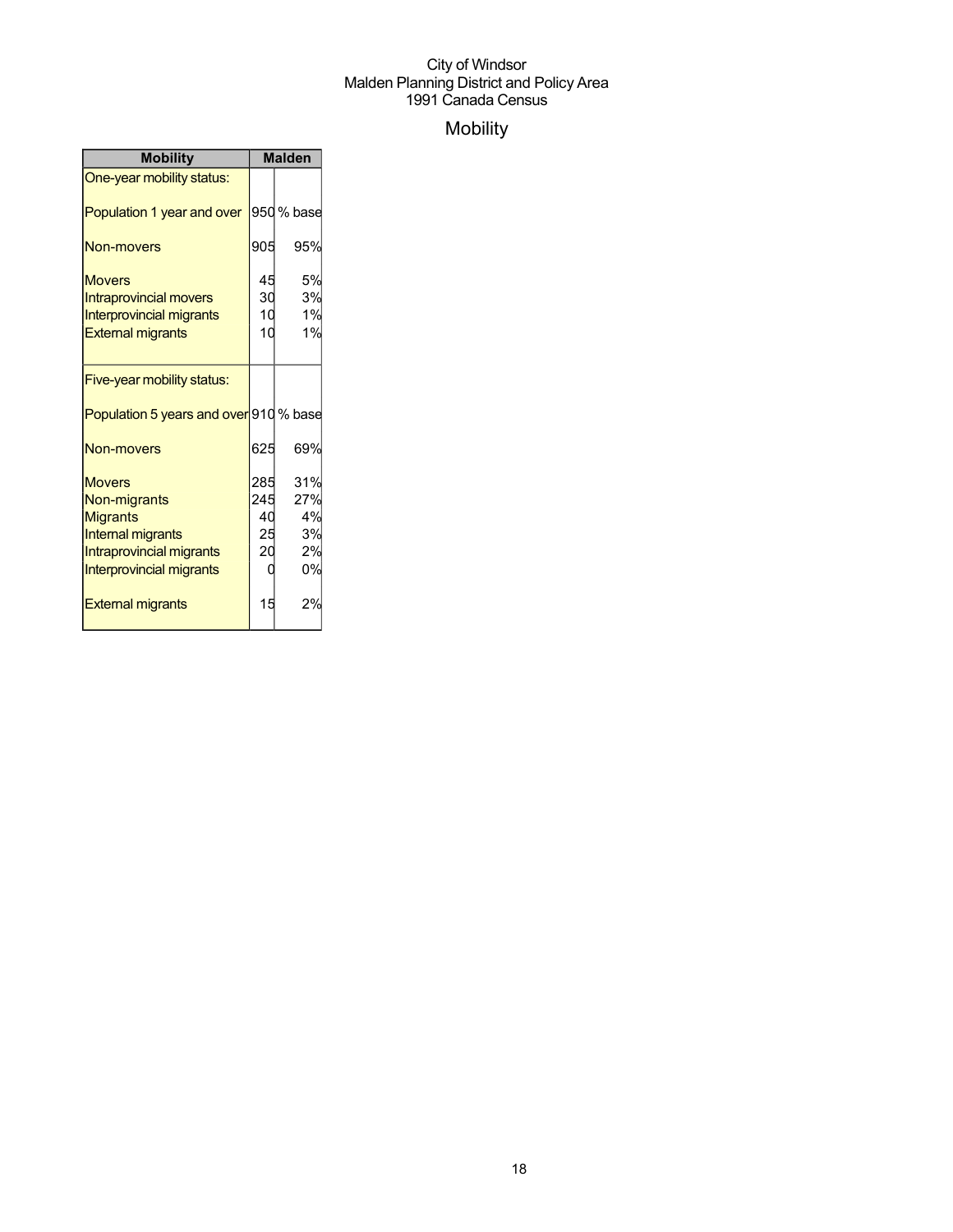## Mobility

| <b>Mobility</b>                                                                                                                             | <b>Malden</b>                     |                                    |
|---------------------------------------------------------------------------------------------------------------------------------------------|-----------------------------------|------------------------------------|
| One-year mobility status:                                                                                                                   |                                   |                                    |
| Population 1 year and over                                                                                                                  |                                   | 950 % base                         |
| Non-movers                                                                                                                                  | 905                               | 95%                                |
| <b>Movers</b><br><b>Intraprovincial movers</b><br><b>Interprovincial migrants</b><br><b>External migrants</b>                               | 45<br>30<br>10<br>10              | 5%<br>3%<br>1%<br>1%               |
| Five-year mobility status:                                                                                                                  |                                   |                                    |
| Population 5 years and over 910 % base                                                                                                      |                                   |                                    |
| Non-movers                                                                                                                                  | 625                               | 69%                                |
| <b>Movers</b><br>Non-migrants<br><b>Migrants</b><br><b>Internal migrants</b><br>Intraprovincial migrants<br><b>Interprovincial migrants</b> | 285<br>245<br>40<br>25<br>20<br>Ω | 31%<br>27%<br>4%<br>3%<br>2%<br>0% |
| <b>External migrants</b>                                                                                                                    | 15                                | 2%                                 |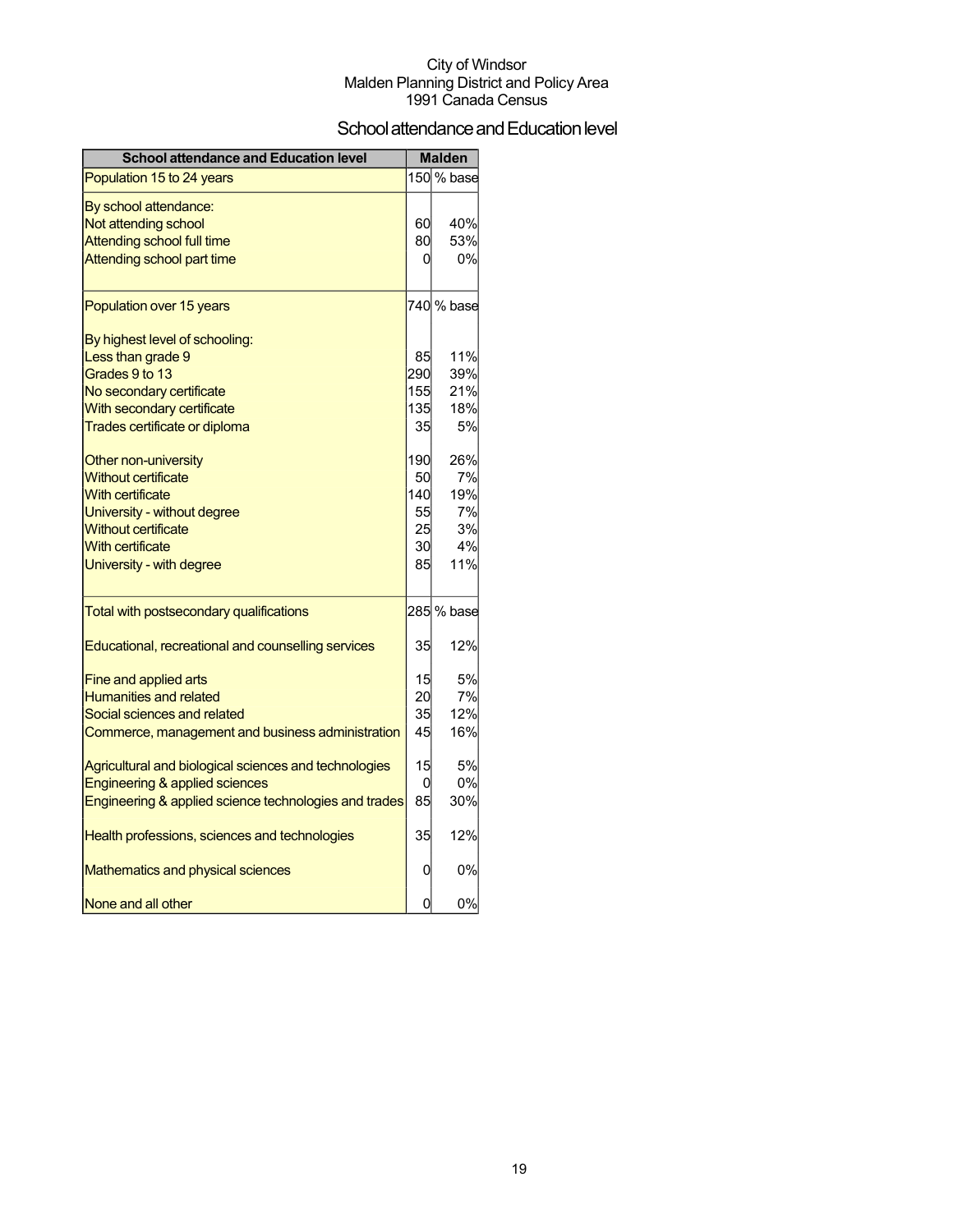## School attendance and Education level

| <b>School attendance and Education level</b>          |     | <b>Malden</b> |
|-------------------------------------------------------|-----|---------------|
| Population 15 to 24 years                             |     | 150 % base    |
| By school attendance:                                 |     |               |
| Not attending school                                  | 60  | 40%           |
| <b>Attending school full time</b>                     | 80  | 53%           |
| Attending school part time                            | 0   | 0%            |
| Population over 15 years                              |     | 740 % base    |
| By highest level of schooling:                        |     |               |
| Less than grade 9                                     | 85  | 11%           |
| Grades 9 to 13                                        | 290 | 39%           |
| No secondary certificate                              | 155 | 21%           |
| With secondary certificate                            | 135 | 18%           |
| Trades certificate or diploma                         | 35  | 5%            |
| Other non-university                                  | 190 | 26%           |
| <b>Without certificate</b>                            | 50  | 7%            |
| <b>With certificate</b>                               | 140 | 19%           |
| University - without degree                           | 55  | 7%            |
| <b>Without certificate</b>                            | 25  | 3%            |
| <b>With certificate</b>                               | 30  | 4%            |
| University - with degree                              | 85  | 11%           |
| Total with postsecondary qualifications               |     | 285 % base    |
| Educational, recreational and counselling services    | 35  | 12%           |
| Fine and applied arts                                 | 15  | 5%            |
| <b>Humanities and related</b>                         | 20  | 7%            |
| Social sciences and related                           | 35  | 12%           |
| Commerce, management and business administration      | 45  | 16%           |
| Agricultural and biological sciences and technologies | 15  | 5%            |
| Engineering & applied sciences                        | 0   | 0%            |
| Engineering & applied science technologies and trades | 85  | 30%           |
| Health professions, sciences and technologies         | 35  | 12%           |
| Mathematics and physical sciences                     | 0   | 0%            |
| None and all other                                    | 0   | 0%            |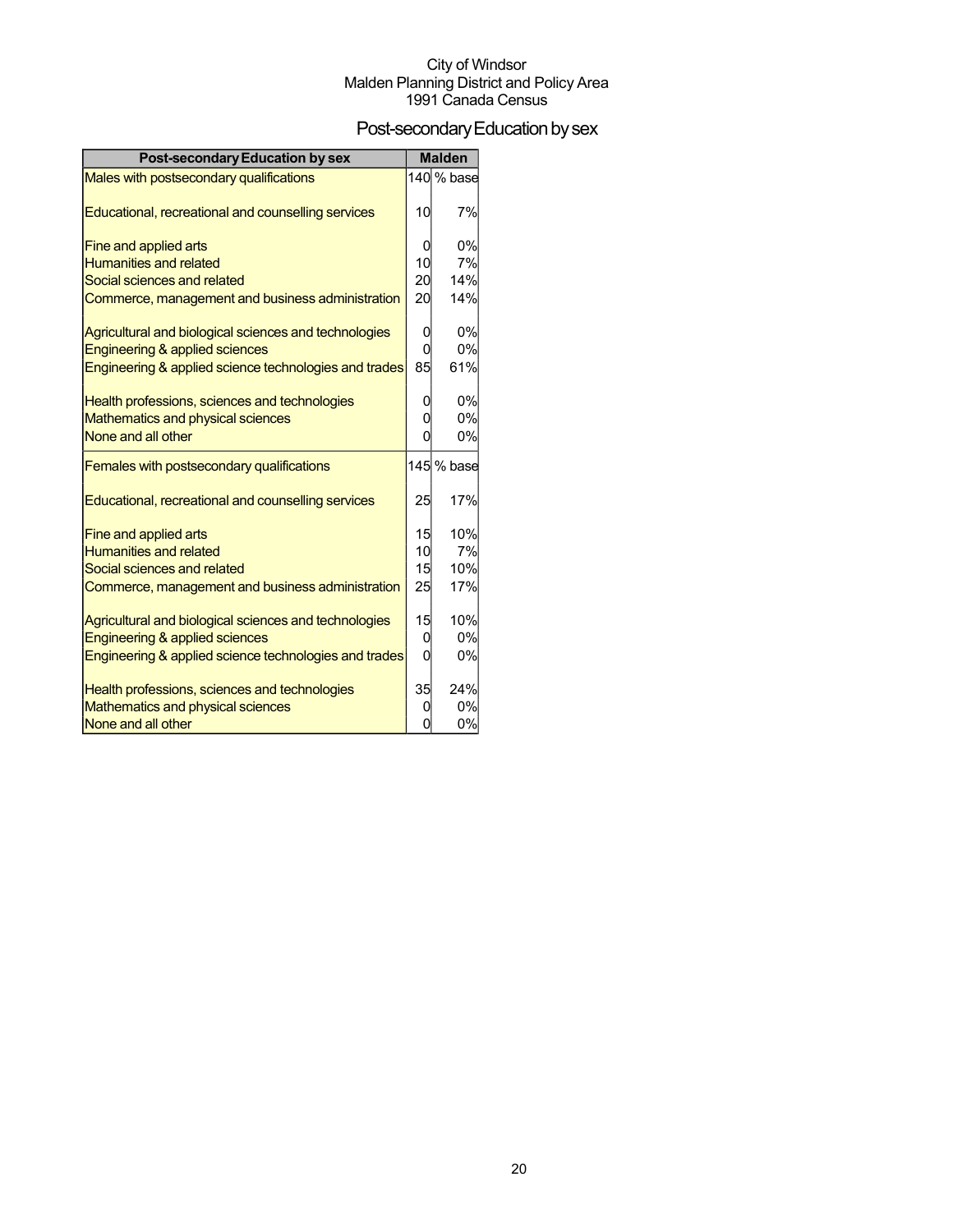## Post-secondary Education by sex

| <b>Post-secondary Education by sex</b>                | <b>Malden</b> |            |
|-------------------------------------------------------|---------------|------------|
| Males with postsecondary qualifications               |               | 140 % base |
|                                                       |               |            |
| Educational, recreational and counselling services    | 10            | 7%         |
| Fine and applied arts                                 | 0             | 0%         |
| <b>Humanities and related</b>                         | 10            | 7%         |
| Social sciences and related                           | 20            | 14%        |
| Commerce, management and business administration      | 20            | 14%        |
| Agricultural and biological sciences and technologies | 0             | 0%         |
| Engineering & applied sciences                        | 0             | 0%         |
| Engineering & applied science technologies and trades | 85            | 61%        |
|                                                       |               |            |
| Health professions, sciences and technologies         | 0             | 0%         |
| Mathematics and physical sciences                     | 0             | 0%         |
| None and all other                                    | 0             | 0%         |
| Females with postsecondary qualifications             |               | 145 % base |
| Educational, recreational and counselling services    | 25            | 17%        |
| Fine and applied arts                                 | 15            | 10%        |
| <b>Humanities and related</b>                         | 10            | 7%         |
| Social sciences and related                           | 15            | 10%        |
| Commerce, management and business administration      | 25            | 17%        |
| Agricultural and biological sciences and technologies | 15            | 10%        |
| Engineering & applied sciences                        | 0             | 0%         |
| Engineering & applied science technologies and trades | $\Omega$      | 0%         |
| Health professions, sciences and technologies         | 35            | 24%        |
| Mathematics and physical sciences                     | 0             | 0%         |
| None and all other                                    | 0             | 0%         |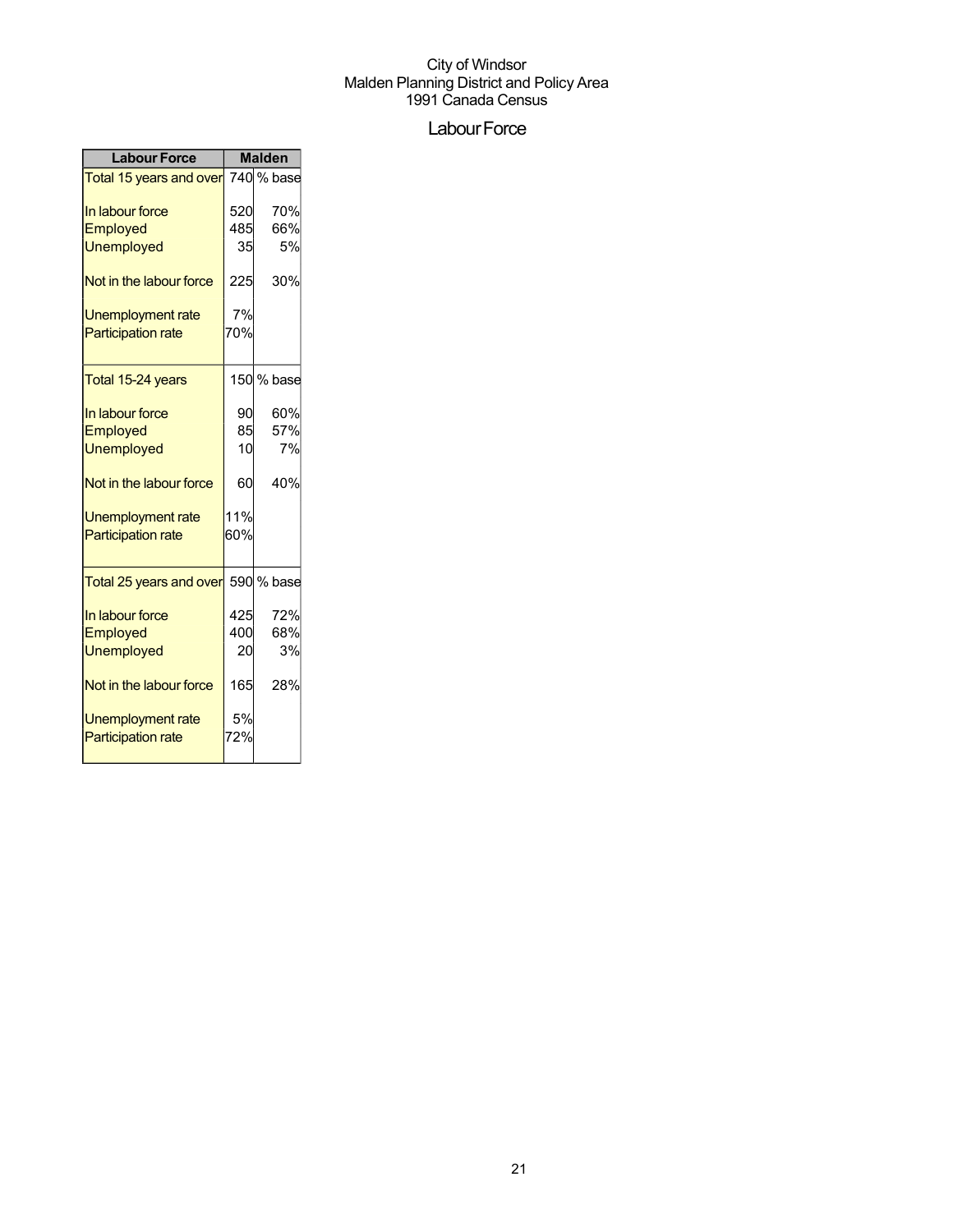## Labour Force

| <b>Labour Force</b>                | <b>Malden</b> |            |
|------------------------------------|---------------|------------|
| Total 15 years and over 740 % base |               |            |
| In labour force                    | 520           | 70%        |
| Employed                           | 485           | 66%        |
| <b>Unemployed</b>                  | 35            | 5%         |
| Not in the labour force            | 225           | 30%        |
| Unemployment rate                  | 7%            |            |
| <b>Participation rate</b>          | 70%           |            |
| Total 15-24 years                  |               | 150 % base |
| In labour force                    | 90            | 60%        |
| Employed                           | 85            | 57%        |
| <b>Unemployed</b>                  | 10            | 7%         |
| Not in the labour force            | 60            | 40%        |
| Unemployment rate                  | 11%           |            |
| <b>Participation rate</b>          | 60%           |            |
| Total 25 years and over            |               | 590 % base |
| In labour force                    | 425           | 72%        |
| Employed                           | 400           | 68%        |
| <b>Unemployed</b>                  | 20            | 3%         |
| Not in the labour force            | 165           | 28%        |
| Unemployment rate                  | 5%            |            |
| <b>Participation rate</b>          | 72%           |            |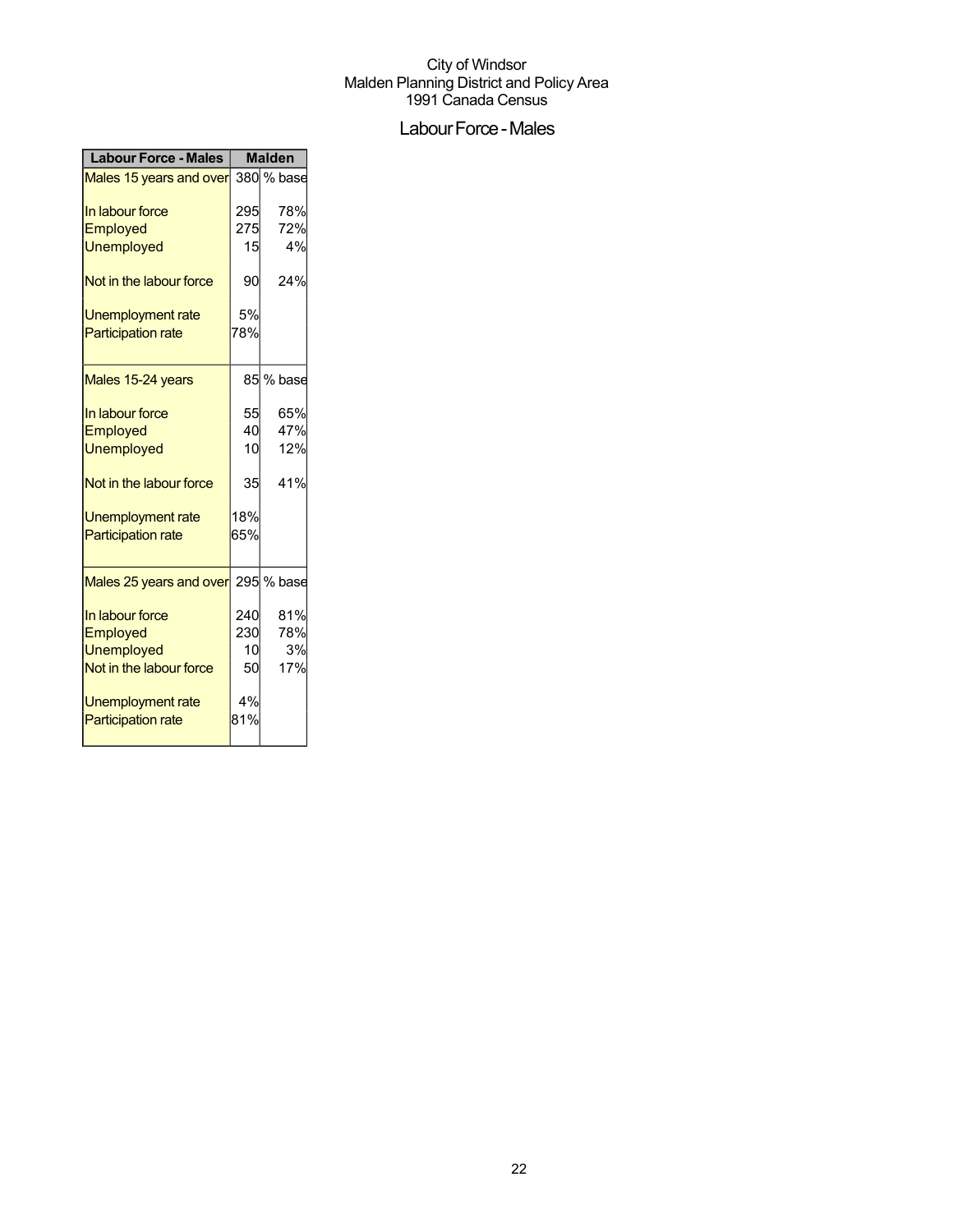## Labour Force - Males

| <b>Labour Force - Males</b>        | <b>Malden</b> |            |
|------------------------------------|---------------|------------|
| Males 15 years and over            |               | 380 % base |
| In labour force                    | 295           | 78%        |
| Employed                           | 275           | 72%        |
| <b>Unemployed</b>                  | 15            | 4%         |
| Not in the labour force            | 90            | 24%        |
| <b>Unemployment rate</b>           | 5%            |            |
| <b>Participation rate</b>          | 78%           |            |
| Males 15-24 years                  |               | 85 % base  |
| In labour force                    | 55            | 65%        |
| Employed                           | 40            | 47%        |
| <b>Unemployed</b>                  | 10            | 12%        |
| Not in the labour force            | 35            | 41%        |
| <b>Unemployment rate</b>           | 18%           |            |
| <b>Participation rate</b>          | 65%           |            |
| Males 25 years and over 295 % base |               |            |
| In labour force                    | 240           | 81%        |
| Employed                           | 230           | 78%        |
| <b>Unemployed</b>                  | 10            | 3%         |
| Not in the labour force            | 50            | 17%        |
| Unemployment rate                  | 4%            |            |
| <b>Participation rate</b>          | 81%           |            |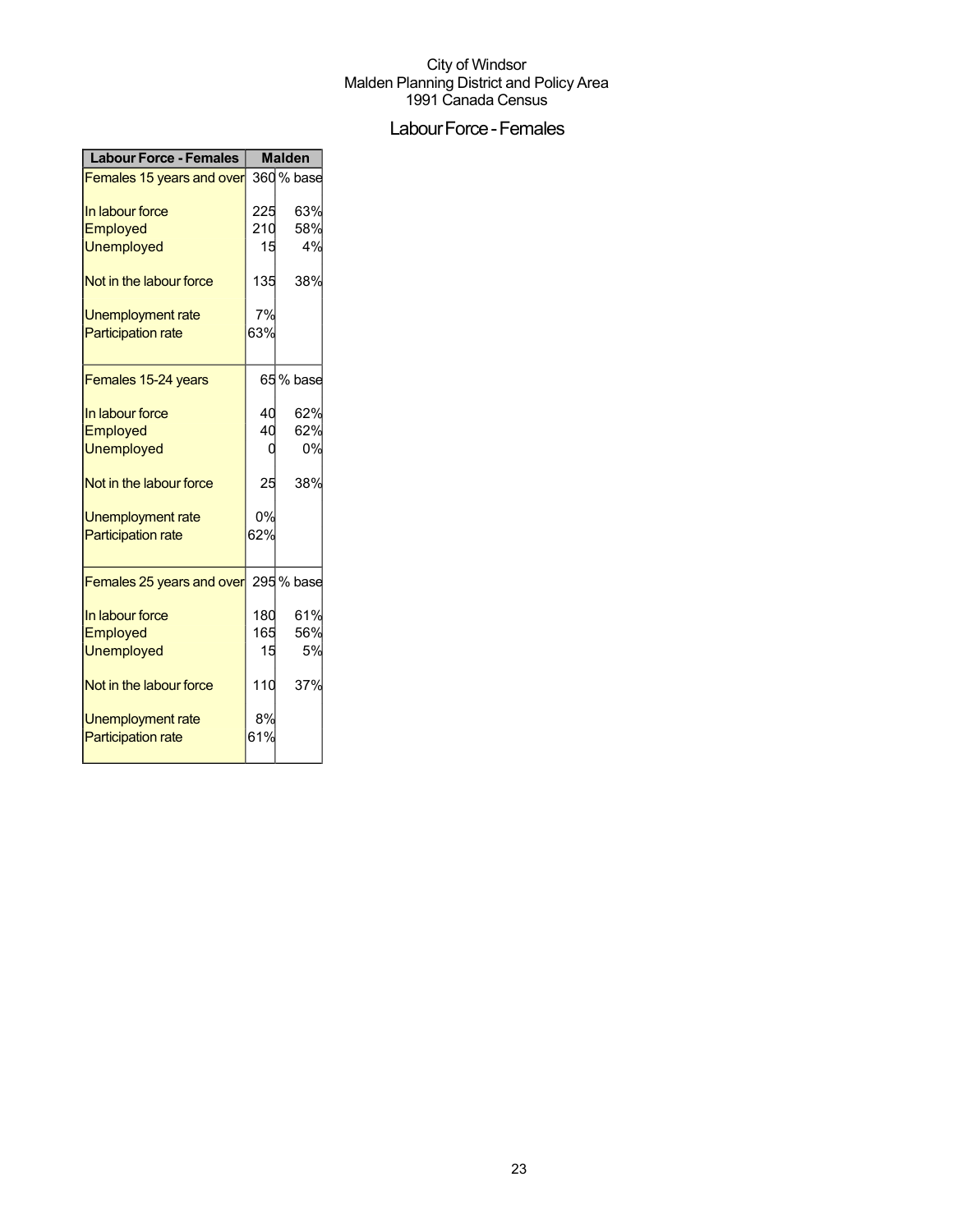## Labour Force - Females

| <b>Labour Force - Females</b> | <b>Malden</b> |            |
|-------------------------------|---------------|------------|
| Females 15 years and over     |               | 360 % base |
| In labour force               | 225           | 63%        |
| Employed                      | 210           | 58%        |
| <b>Unemployed</b>             | 15            | 4%         |
| Not in the labour force       | 135           | 38%        |
| Unemployment rate             | 7%            |            |
| <b>Participation rate</b>     | 63%           |            |
| Females 15-24 years           |               | 65 % base  |
| In labour force               | 40            | 62%        |
| Employed                      | 40            | 62%        |
| <b>Unemployed</b>             |               | 0%         |
| Not in the labour force       | 25            | 38%        |
| <b>Unemployment rate</b>      | 0%            |            |
| <b>Participation rate</b>     | 62%           |            |
| Females 25 years and over     |               | 295 % base |
| In labour force               | 180           | 61%        |
| Employed                      | 165           | 56%        |
| <b>Unemployed</b>             | 15            | 5%         |
| Not in the labour force       | 110           | 37%        |
| <b>Unemployment rate</b>      | 8%            |            |
| <b>Participation rate</b>     | 61%           |            |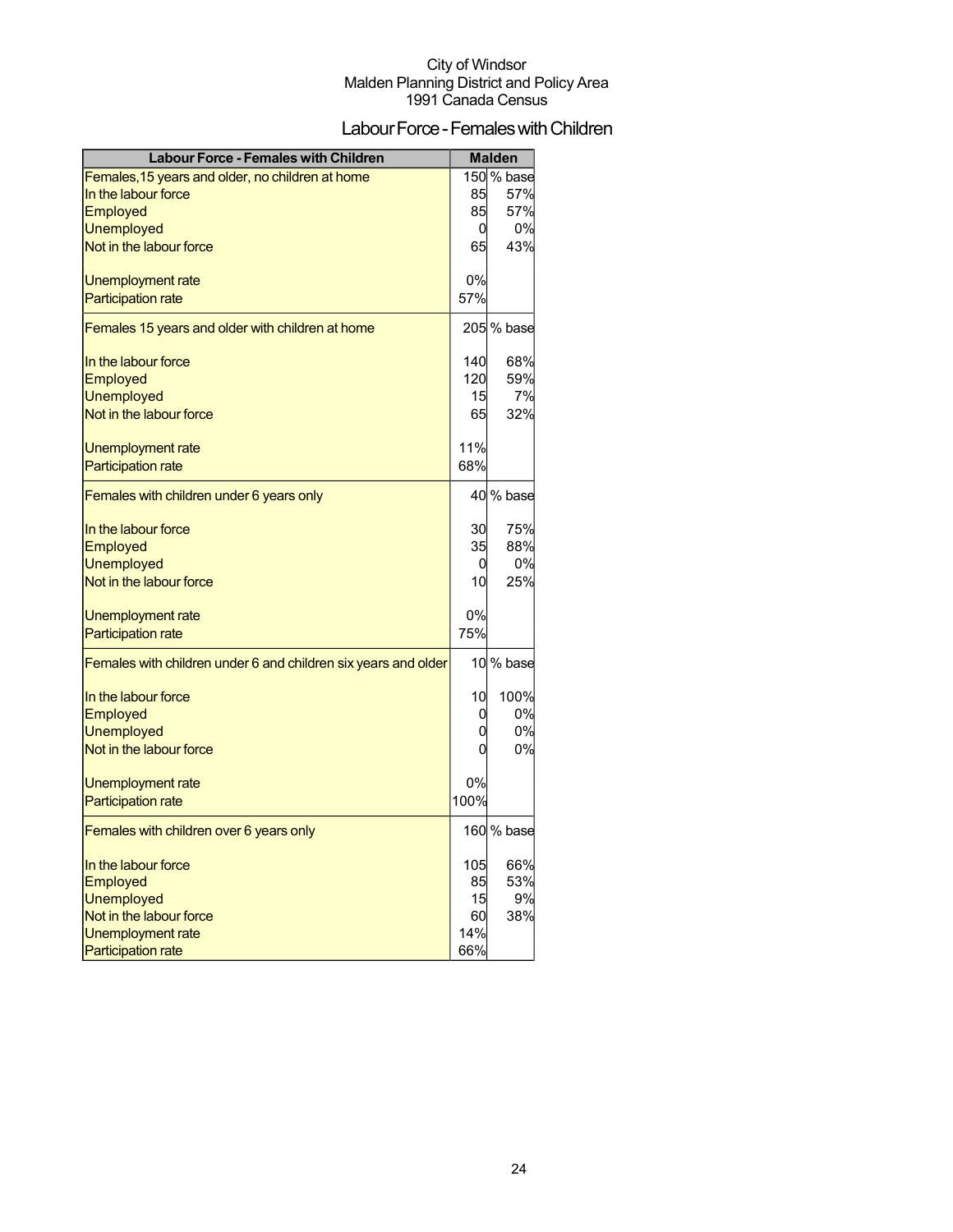## Labour Force - Females with Children

| <b>Labour Force - Females with Children</b>                    |      | <b>Malden</b> |
|----------------------------------------------------------------|------|---------------|
| Females, 15 years and older, no children at home               |      | 150 % base    |
| In the labour force                                            | 85   | 57%           |
| Employed                                                       | 85   | 57%           |
| <b>Unemployed</b>                                              | 0    | 0%            |
| Not in the labour force                                        | 65   | 43%           |
| Unemployment rate                                              | 0%   |               |
| <b>Participation rate</b>                                      | 57%  |               |
| Females 15 years and older with children at home               |      | 205 % base    |
| In the labour force                                            | 140  | 68%           |
| Employed                                                       | 120  | 59%           |
| <b>Unemployed</b>                                              | 15   | 7%            |
| Not in the labour force                                        | 65   | 32%           |
| Unemployment rate                                              | 11%  |               |
| <b>Participation rate</b>                                      | 68%  |               |
| Females with children under 6 years only                       |      | 40 % base     |
| In the labour force                                            | 30   | 75%           |
| Employed                                                       | 35   | 88%           |
| <b>Unemployed</b>                                              | 0    | 0%            |
| Not in the labour force                                        | 10   | 25%           |
| Unemployment rate                                              | 0%   |               |
| <b>Participation rate</b>                                      | 75%  |               |
| Females with children under 6 and children six years and older |      | 10 % base     |
| In the labour force                                            | 10   | 100%          |
| <b>Employed</b>                                                | 0    | 0%            |
| <b>Unemployed</b>                                              | 0    | 0%            |
| Not in the labour force                                        | 0    | 0%            |
| Unemployment rate                                              | 0%   |               |
| <b>Participation rate</b>                                      | 100% |               |
| Females with children over 6 years only                        |      | 160 % base    |
| In the labour force                                            | 105  | 66%           |
| Employed                                                       | 85   | 53%           |
| <b>Unemployed</b>                                              | 15   | 9%            |
| Not in the labour force                                        | 60   | 38%           |
| Unemployment rate                                              | 14%  |               |
| <b>Participation rate</b>                                      | 66%  |               |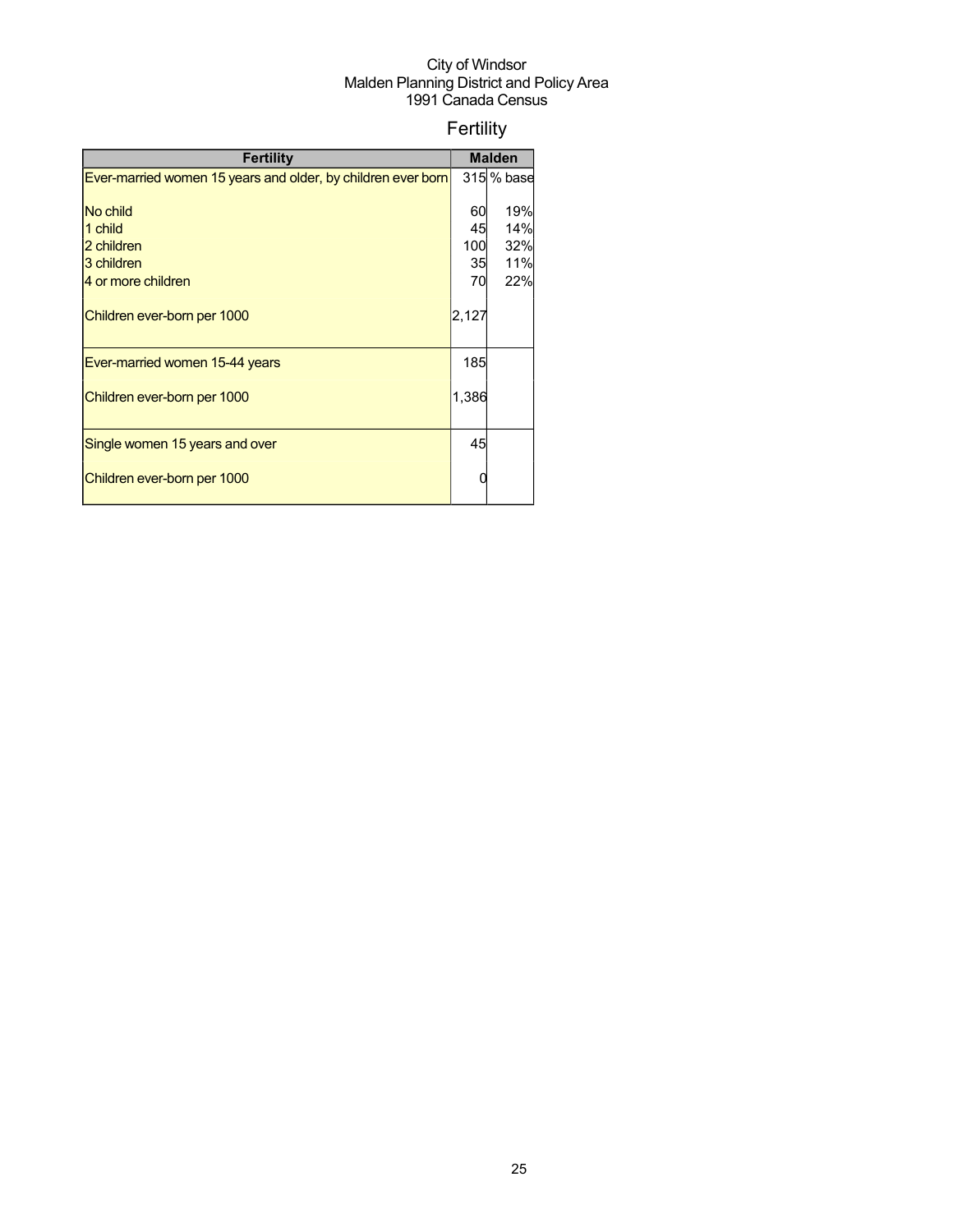## Fertility

| <b>Fertility</b>                                             |       | <b>Malden</b> |
|--------------------------------------------------------------|-------|---------------|
| Ever-married women 15 years and older, by children ever born |       | 315 % base    |
|                                                              |       |               |
| No child                                                     | 60    | 19%           |
| 1 child                                                      | 45    | 14%           |
| 2 children                                                   | 100   | 32%           |
| 3 children                                                   | 35    | 11%           |
| 4 or more children                                           | 70    | 22%           |
| Children ever-born per 1000                                  | 2,127 |               |
| Ever-married women 15-44 years                               | 185   |               |
| Children ever-born per 1000                                  | 1,386 |               |
| Single women 15 years and over                               | 45    |               |
| Children ever-born per 1000                                  |       |               |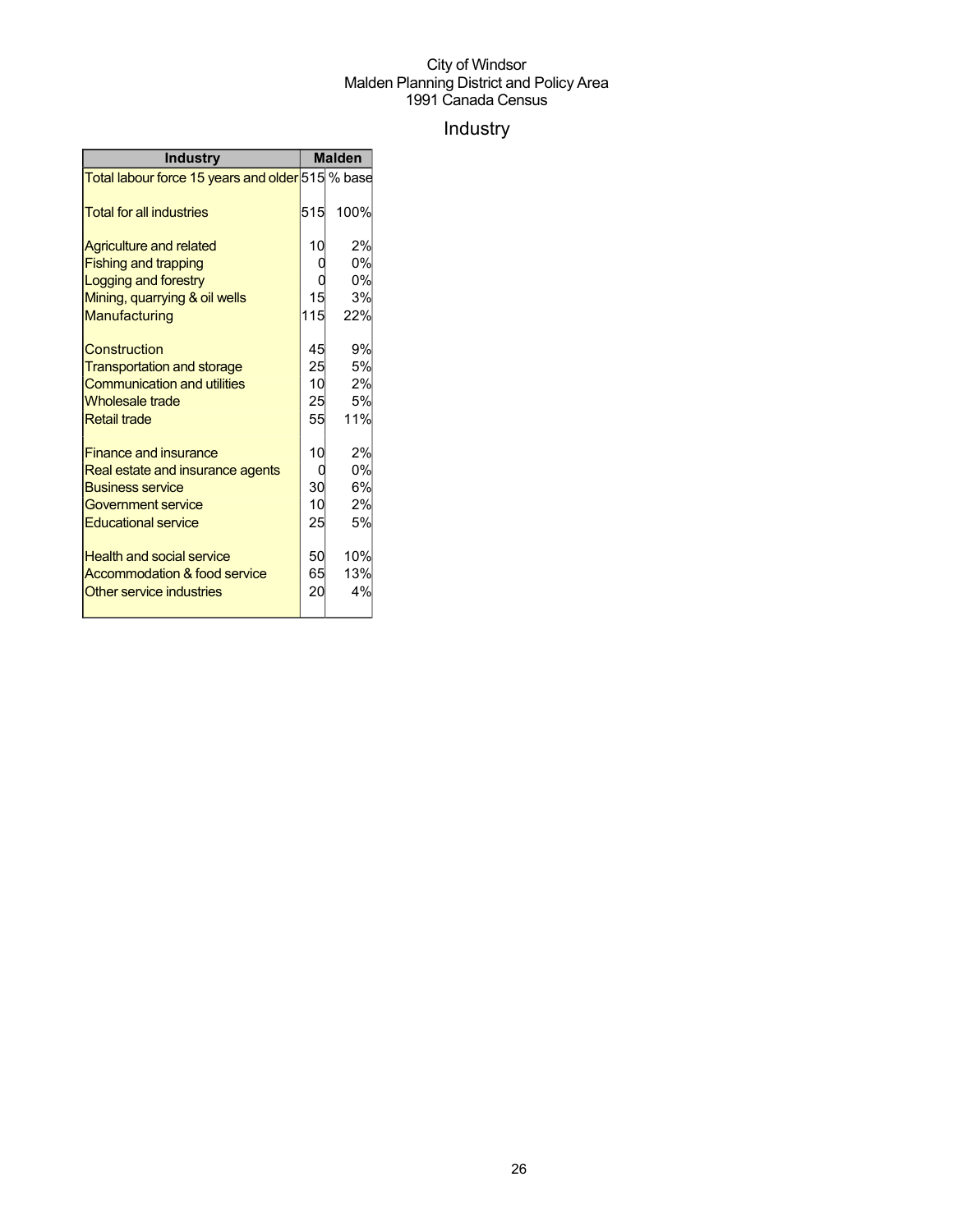## Industry

| <b>Industry</b>                                  |     | <b>Malden</b> |
|--------------------------------------------------|-----|---------------|
| Total labour force 15 years and older 515 % base |     |               |
| <b>Total for all industries</b>                  | 515 | 100%          |
| <b>Agriculture and related</b>                   | 10  | 2%            |
| <b>Fishing and trapping</b>                      |     | 0%            |
| Logging and forestry                             |     | 0%            |
| Mining, quarrying & oil wells                    | 15  | 3%            |
| Manufacturing                                    | 115 | 22%           |
| Construction                                     | 45  | 9%            |
| <b>Transportation and storage</b>                | 25  | 5%            |
| <b>Communication and utilities</b>               | 10  | 2%            |
| <b>Wholesale trade</b>                           | 25  | 5%            |
| <b>Retail trade</b>                              | 55  | 11%           |
| <b>Finance and insurance</b>                     | 10  | 2%            |
| Real estate and insurance agents                 |     | 0%            |
| <b>Business service</b>                          | 30  | 6%            |
| <b>Government service</b>                        | 10  | 2%            |
| <b>Educational service</b>                       | 25  | 5%            |
| <b>Health and social service</b>                 | 50  | 10%           |
| Accommodation & food service                     | 65  | 13%           |
| Other service industries                         | 20  | 4%            |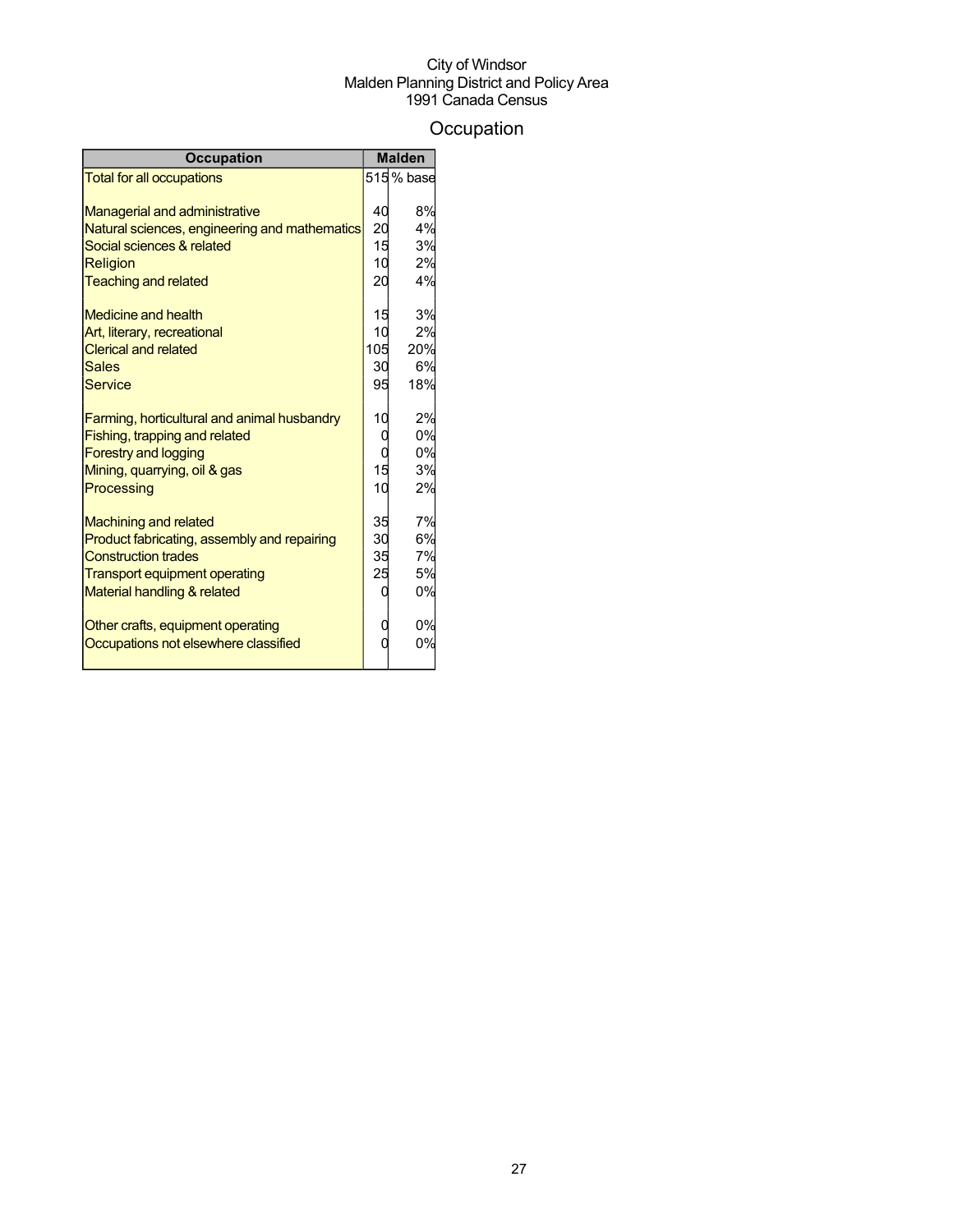## **Occupation**

| <b>Occupation</b>                             |     | <b>Malden</b> |
|-----------------------------------------------|-----|---------------|
| <b>Total for all occupations</b>              |     | 515% base     |
|                                               |     |               |
| <b>Managerial and administrative</b>          | 40  | 8%            |
| Natural sciences, engineering and mathematics | 20  | 4%            |
| Social sciences & related                     | 15  | 3%            |
| Religion                                      | 10  | 2%            |
| <b>Teaching and related</b>                   | 20  | 4%            |
| <b>Medicine and health</b>                    | 15  | 3%            |
| Art, literary, recreational                   | 10  | 2%            |
| <b>Clerical and related</b>                   | 105 | 20%           |
| <b>Sales</b>                                  | 30  | 6%            |
| Service                                       | 95  | 18%           |
| Farming, horticultural and animal husbandry   | 10  | 2%            |
| Fishing, trapping and related                 | C   | 0%            |
| <b>Forestry and logging</b>                   | C   | 0%            |
| Mining, quarrying, oil & gas                  | 15  | 3%            |
| Processing                                    | 10  | 2%            |
|                                               |     |               |
| <b>Machining and related</b>                  | 35  | 7%            |
| Product fabricating, assembly and repairing   | 30  | 6%            |
| <b>Construction trades</b>                    | 35  | 7%            |
| <b>Transport equipment operating</b>          | 25  | 5%            |
| Material handling & related                   |     | 0%            |
| Other crafts, equipment operating             | U   | 0%            |
| Occupations not elsewhere classified          |     | 0%            |
|                                               |     |               |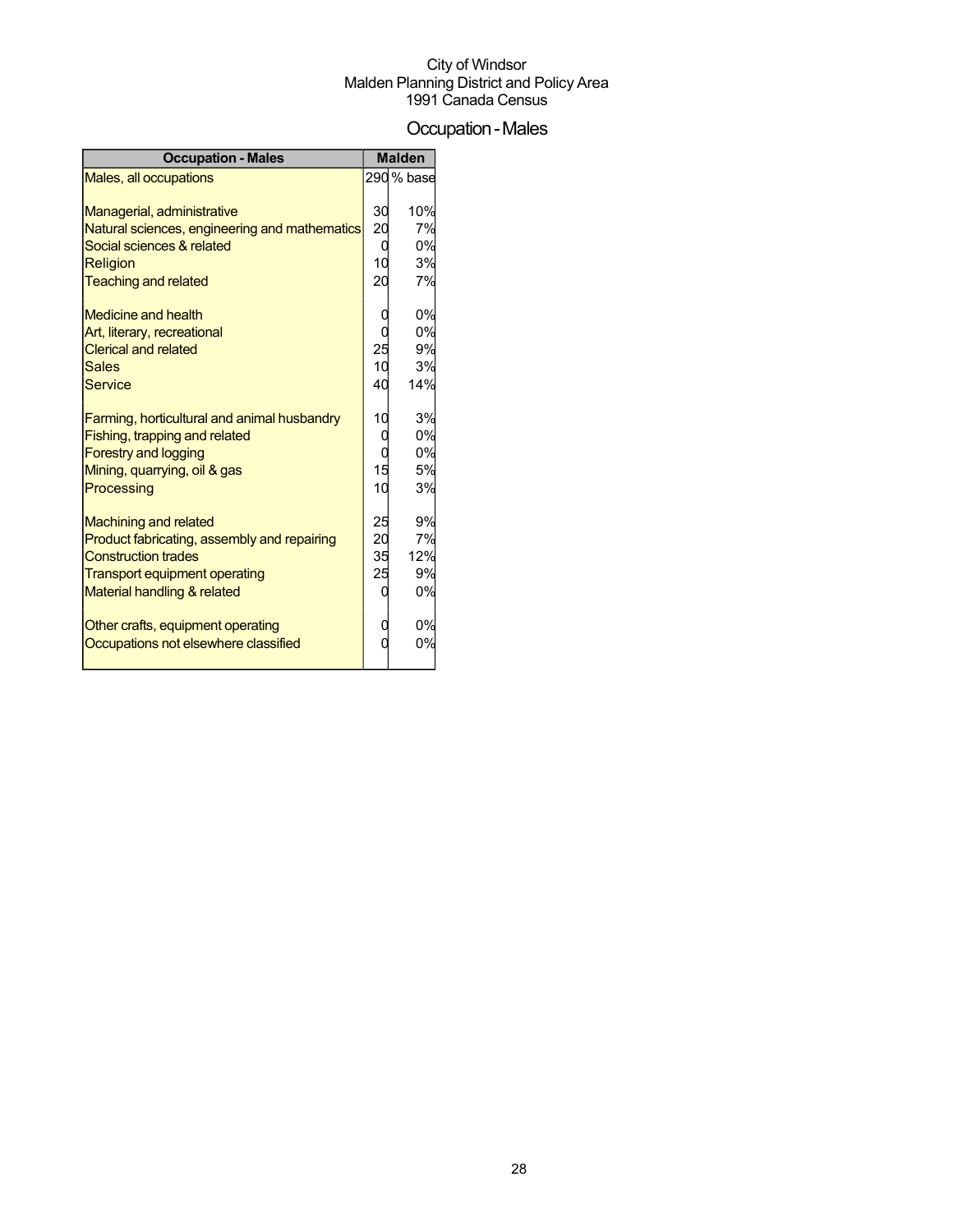### Occupation-Males

| <b>Occupation - Males</b>                     |                 | <b>Malden</b> |
|-----------------------------------------------|-----------------|---------------|
| <b>Males, all occupations</b>                 |                 | 290 % base    |
|                                               |                 |               |
| Managerial, administrative                    | 30              | 10%           |
| Natural sciences, engineering and mathematics | $\overline{20}$ | 7%            |
| Social sciences & related                     | 0               | 0%            |
| <b>Religion</b>                               | 10              | 3%            |
| <b>Teaching and related</b>                   | 20              | 7%            |
| <b>Medicine and health</b>                    |                 | 0%            |
| Art, literary, recreational                   | C               | 0%            |
| <b>Clerical and related</b>                   | 25              | 9%            |
| <b>Sales</b>                                  | 10              | 3%            |
| <b>Service</b>                                | 40              | 14%           |
|                                               |                 |               |
| Farming, horticultural and animal husbandry   | 10              | 3%            |
| Fishing, trapping and related                 | 0               | 0%            |
| <b>Forestry and logging</b>                   | 0               | 0%            |
| Mining, quarrying, oil & gas                  | 15              | 5%            |
| Processing                                    | 10              | 3%            |
|                                               |                 |               |
| <b>Machining and related</b>                  | 25              | 9%            |
| Product fabricating, assembly and repairing   | 20              | 7%            |
| <b>Construction trades</b>                    | 35              | 12%           |
| <b>Transport equipment operating</b>          | 25              | 9%            |
| Material handling & related                   |                 | 0%            |
| Other crafts, equipment operating             |                 | 0%            |
| Occupations not elsewhere classified          |                 | 0%            |
|                                               |                 |               |
|                                               |                 |               |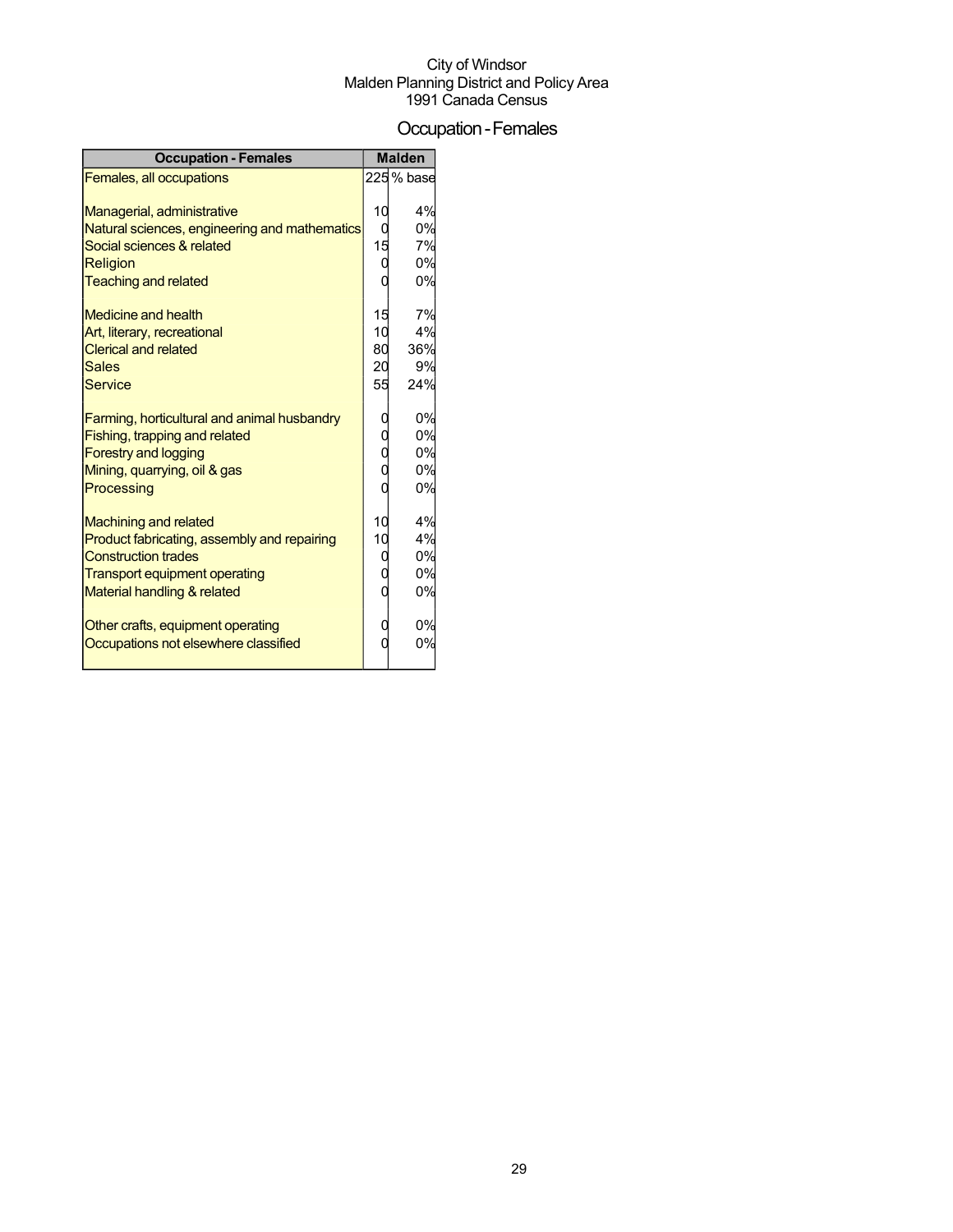### Occupation-Females

| <b>Occupation - Females</b>                                                                                                                                                                                                                       |                                            | <b>Malden</b>                                       |
|---------------------------------------------------------------------------------------------------------------------------------------------------------------------------------------------------------------------------------------------------|--------------------------------------------|-----------------------------------------------------|
| Females, all occupations                                                                                                                                                                                                                          |                                            | 225 % base                                          |
| Managerial, administrative<br>Natural sciences, engineering and mathematics<br>Social sciences & related<br>Religion<br><b>Teaching and related</b><br>Medicine and health<br>Art, literary, recreational<br><b>Clerical and related</b><br>Sales | 10<br>0<br>15<br>0<br>15<br>10<br>80<br>20 | 4%<br>0%<br>7%<br>0%<br>0%<br>7%<br>4%<br>36%<br>9% |
| Service                                                                                                                                                                                                                                           | 55                                         | 24%                                                 |
| Farming, horticultural and animal husbandry<br>Fishing, trapping and related<br><b>Forestry and logging</b><br>Mining, quarrying, oil & gas<br>Processing                                                                                         | 0<br>С<br>C<br>0                           | 0%<br>0%<br>0%<br>0%<br>0%                          |
| <b>Machining and related</b>                                                                                                                                                                                                                      | 10                                         | 4%                                                  |
| Product fabricating, assembly and repairing<br><b>Construction trades</b><br><b>Transport equipment operating</b><br>Material handling & related                                                                                                  | 10<br>C<br>0                               | 4%<br>0%<br>0%<br>0%                                |
| Other crafts, equipment operating<br>Occupations not elsewhere classified                                                                                                                                                                         | 0                                          | 0%<br>0%                                            |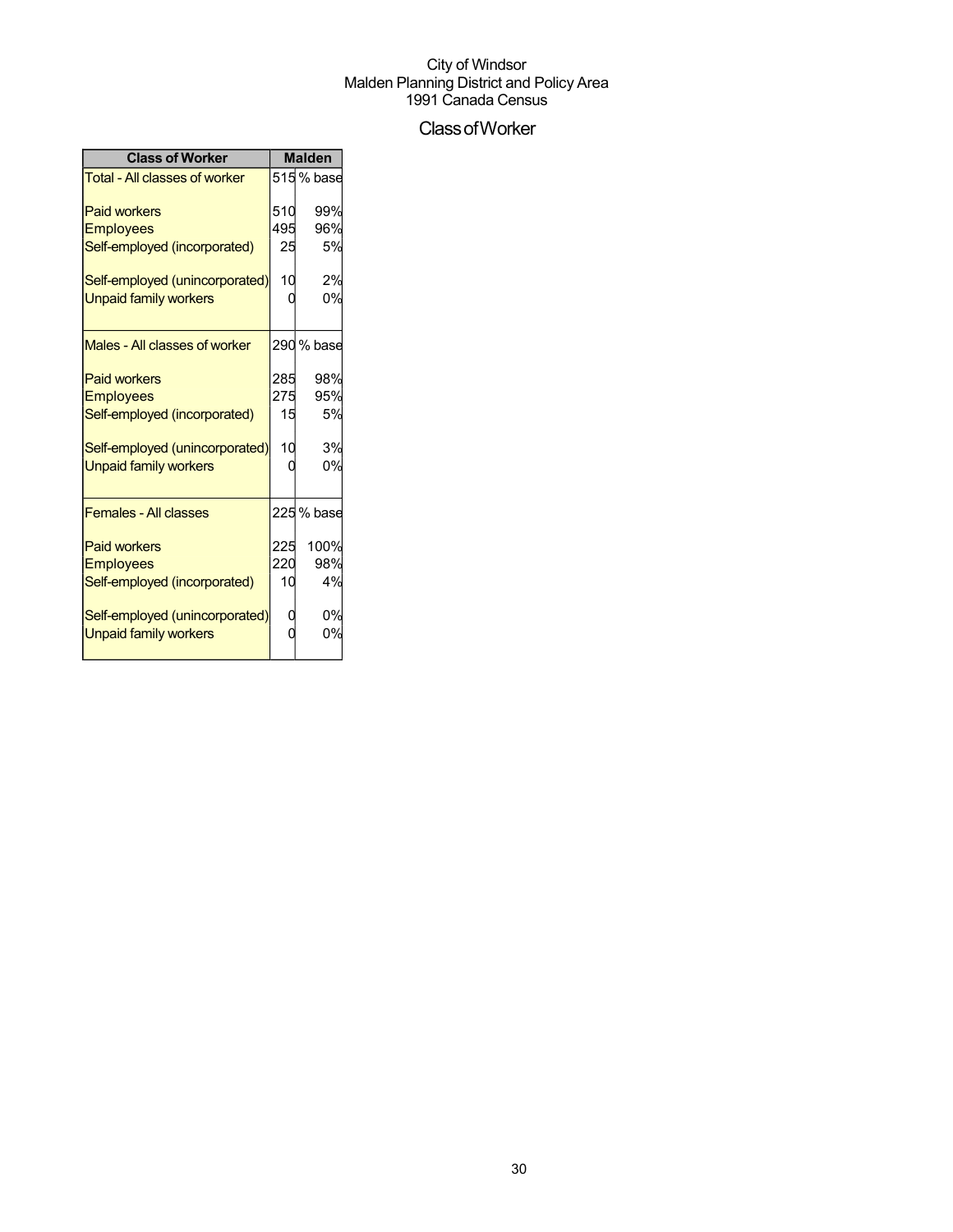## ClassofWorker

| <b>Class of Worker</b>               | <b>Malden</b> |            |  |
|--------------------------------------|---------------|------------|--|
| <b>Total - All classes of worker</b> |               | 515% base  |  |
| <b>Paid workers</b>                  | 510           | 99%        |  |
| <b>Employees</b>                     | 495           | 96%        |  |
| Self-employed (incorporated)         | 25            | 5%         |  |
| Self-employed (unincorporated)       | 10            | 2%         |  |
| <b>Unpaid family workers</b>         |               | 0%         |  |
| Males - All classes of worker        |               | 290 % base |  |
| <b>Paid workers</b>                  | 285           | 98%        |  |
| <b>Employees</b>                     | 275           | 95%        |  |
| Self-employed (incorporated)         | 15            | 5%         |  |
| Self-employed (unincorporated)       | 10            | 3%         |  |
| <b>Unpaid family workers</b>         |               | 0%         |  |
| <b>Females - All classes</b>         |               | 225 % base |  |
| <b>Paid workers</b>                  | 225           | 100%       |  |
| <b>Employees</b>                     | 220           | 98%        |  |
| Self-employed (incorporated)         | 10            | 4%         |  |
| Self-employed (unincorporated)       |               | 0%         |  |
| <b>Unpaid family workers</b>         |               | 0%         |  |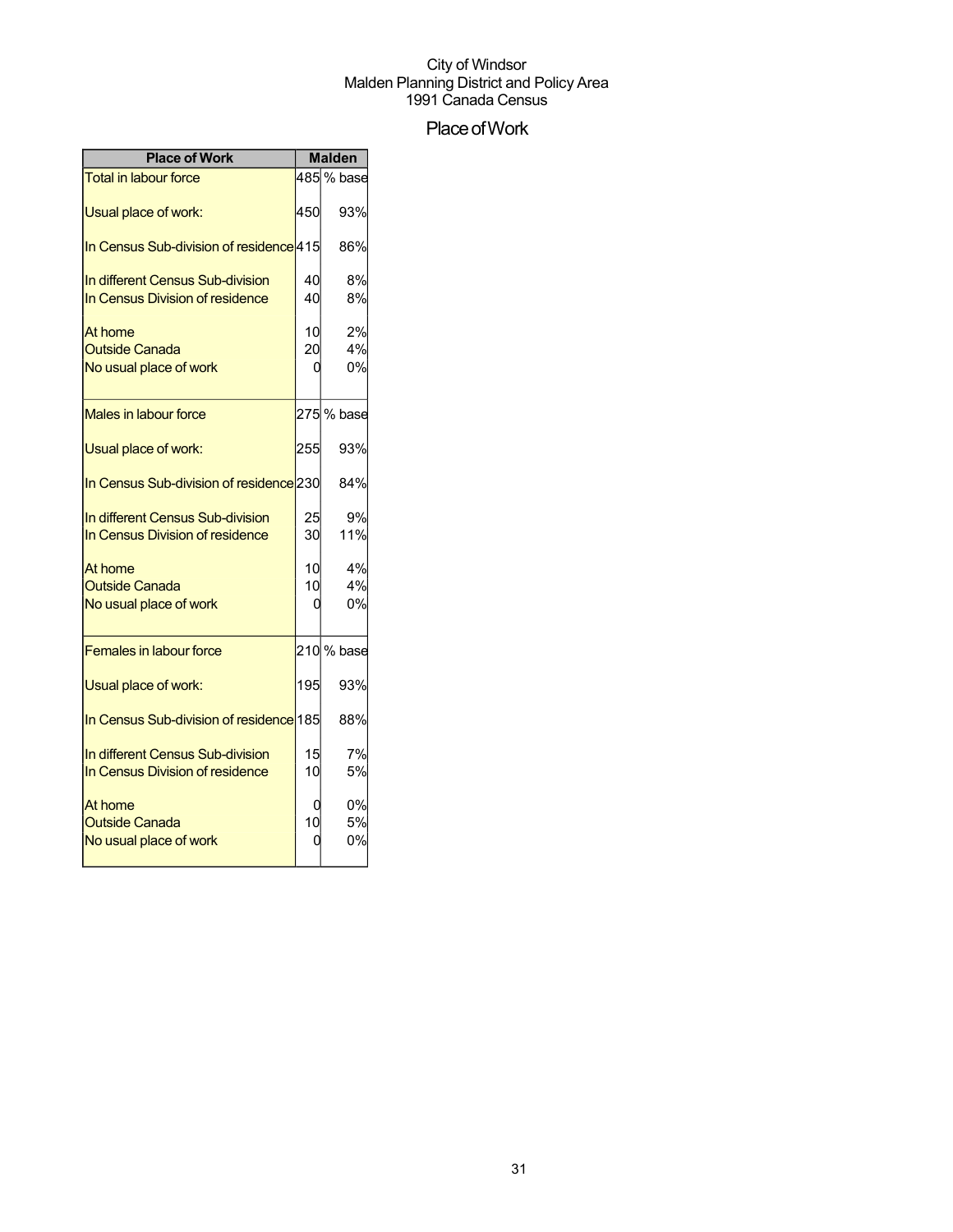## Place of Work

| <b>Place of Work</b>                               |     | <b>Malden</b>           |
|----------------------------------------------------|-----|-------------------------|
| <b>Total in labour force</b>                       |     | $\overline{4}85$ % base |
| Usual place of work:                               | 450 | 93%                     |
| In Census Sub-division of residence 415            |     | 86%                     |
| In different Census Sub-division                   | 40  | 8%                      |
| In Census Division of residence                    | 40  | 8%                      |
| At home                                            | 10  | 2%                      |
| <b>Outside Canada</b>                              | 20  | 4%                      |
| No usual place of work                             |     | 0%                      |
| Males in labour force                              |     | 275 % base              |
| Usual place of work:                               | 255 | 93%                     |
| In Census Sub-division of residence <sup>230</sup> |     | 84%                     |
| In different Census Sub-division                   | 25  | 9%                      |
| In Census Division of residence                    | 30  | 11%                     |
| At home                                            | 10  | 4%                      |
| <b>Outside Canada</b>                              | 10  | 4%                      |
| No usual place of work                             |     | 0%                      |
| <b>Females in labour force</b>                     |     | 210 % base              |
| Usual place of work:                               | 195 | 93%                     |
| In Census Sub-division of residence 185            |     | 88%                     |
| In different Census Sub-division                   | 15  | 7%                      |
| In Census Division of residence                    | 10  | 5%                      |
| At home                                            |     | 0%                      |
| <b>Outside Canada</b>                              | 10  | 5%                      |
| No usual place of work                             |     | 0%                      |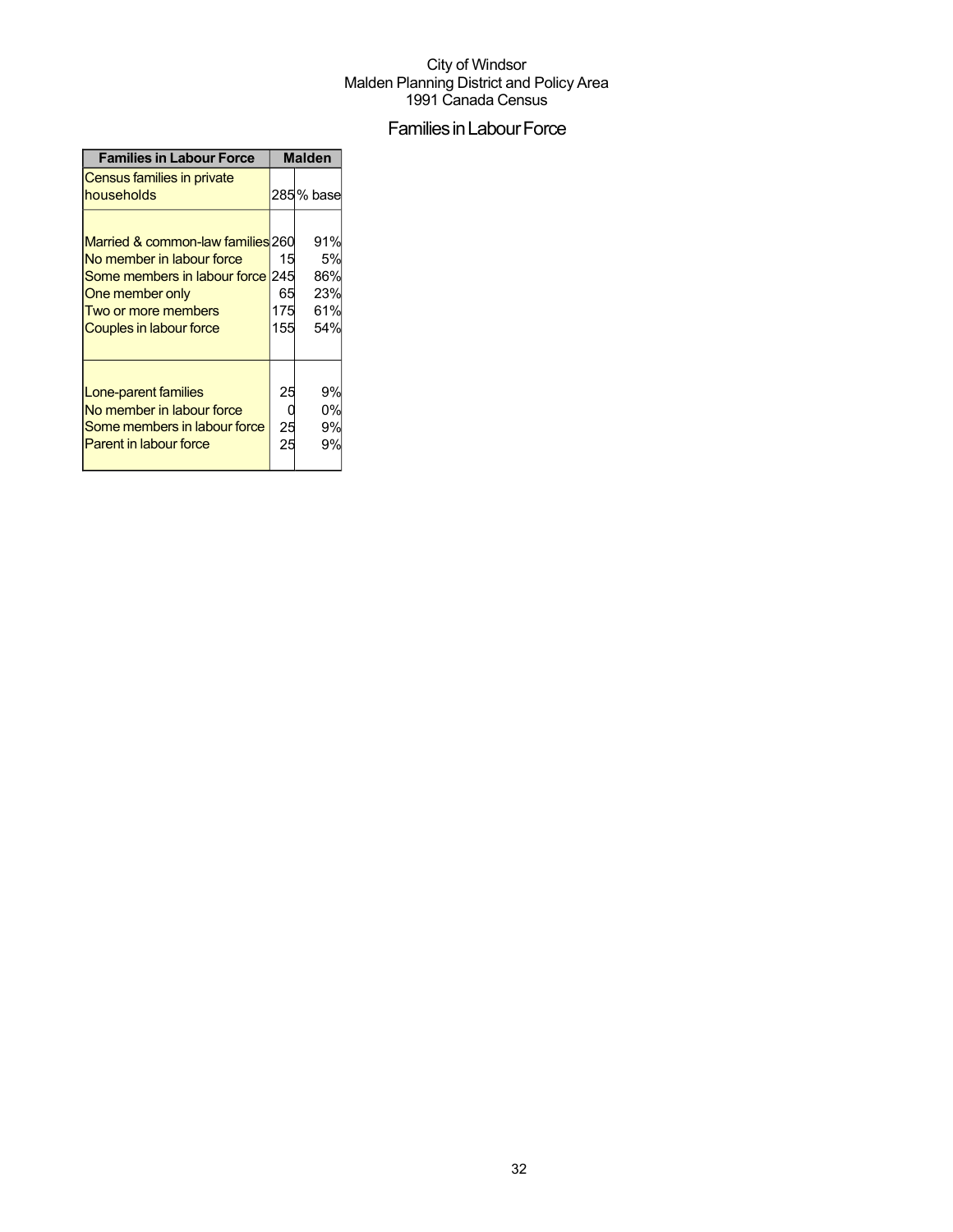## Families in Labour Force

| <b>Families in Labour Force</b>                                                                                                                                                | <b>Malden</b>          |                                       |  |
|--------------------------------------------------------------------------------------------------------------------------------------------------------------------------------|------------------------|---------------------------------------|--|
| Census families in private<br>households                                                                                                                                       |                        | 285% base                             |  |
| Married & common-law families 260<br>No member in labour force<br>Some members in labour force 245<br>One member only<br>Two or more members<br><b>Couples in labour force</b> | 15<br>65<br>175<br>155 | 91%<br>5%<br>86%<br>23%<br>61%<br>54% |  |
| Lone-parent families<br>No member in labour force<br>Some members in labour force<br><b>Parent in labour force</b>                                                             | 25<br>25<br>25         | 9%<br>0%<br>9%<br>9%                  |  |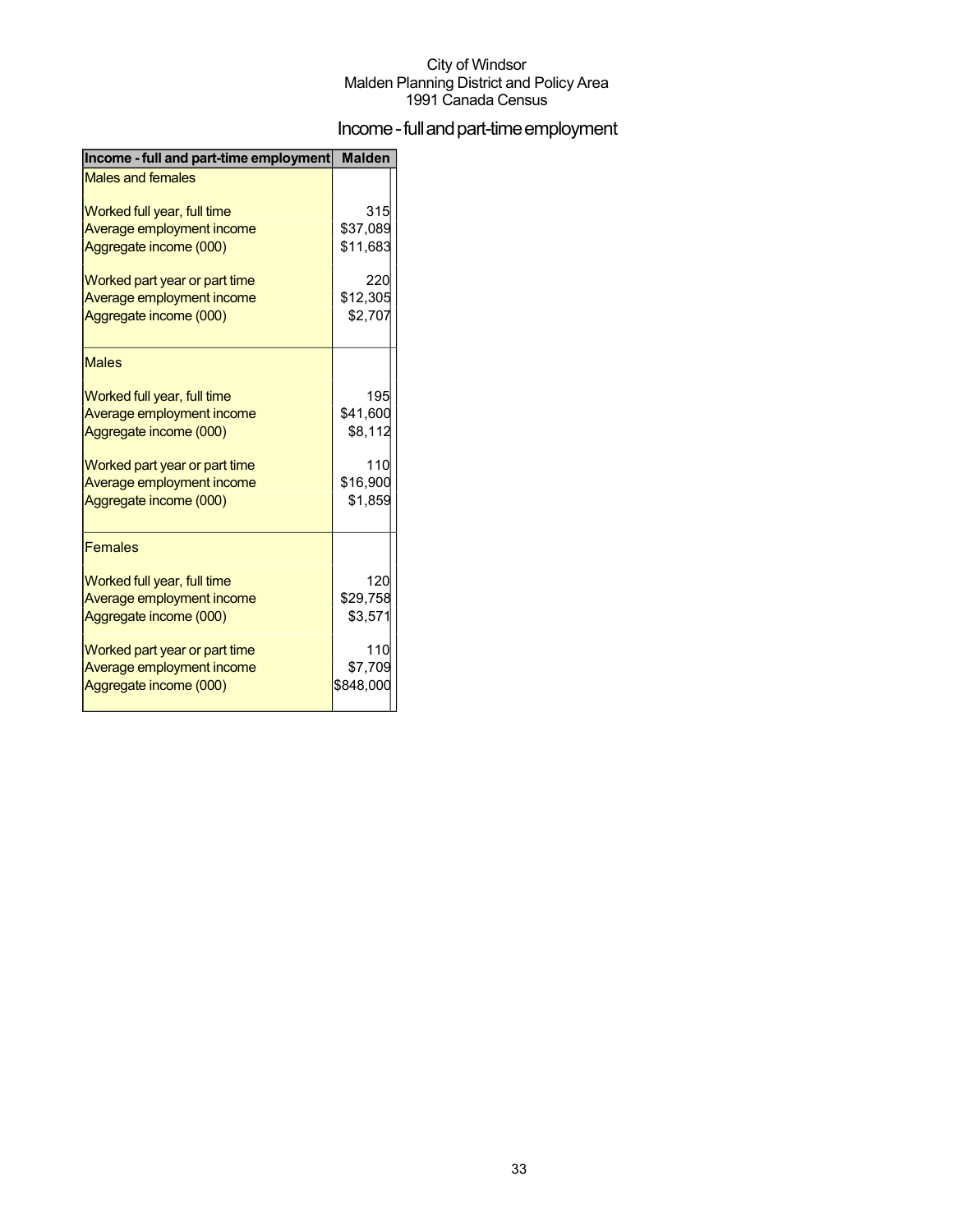## Income - full and part-time employment

| Income - full and part-time employment | <b>Malden</b> |
|----------------------------------------|---------------|
| <b>Males and females</b>               |               |
| Worked full year, full time            | 315           |
| Average employment income              | \$37,089      |
| Aggregate income (000)                 | \$11,683      |
| Worked part year or part time          | 220           |
| Average employment income              | \$12,305      |
| Aggregate income (000)                 | \$2,707       |
| <b>Males</b>                           |               |
| Worked full year, full time            | 195           |
| Average employment income              | \$41,600      |
| Aggregate income (000)                 | \$8,112       |
| Worked part year or part time          | 110           |
| Average employment income              | \$16,900      |
| Aggregate income (000)                 | \$1,859       |
| <b>Females</b>                         |               |
| Worked full year, full time            | 120           |
| Average employment income              | \$29,758      |
| Aggregate income (000)                 | \$3,571       |
| Worked part year or part time          | 110           |
| Average employment income              | \$7,709       |
| Aggregate income (000)                 | \$848,000     |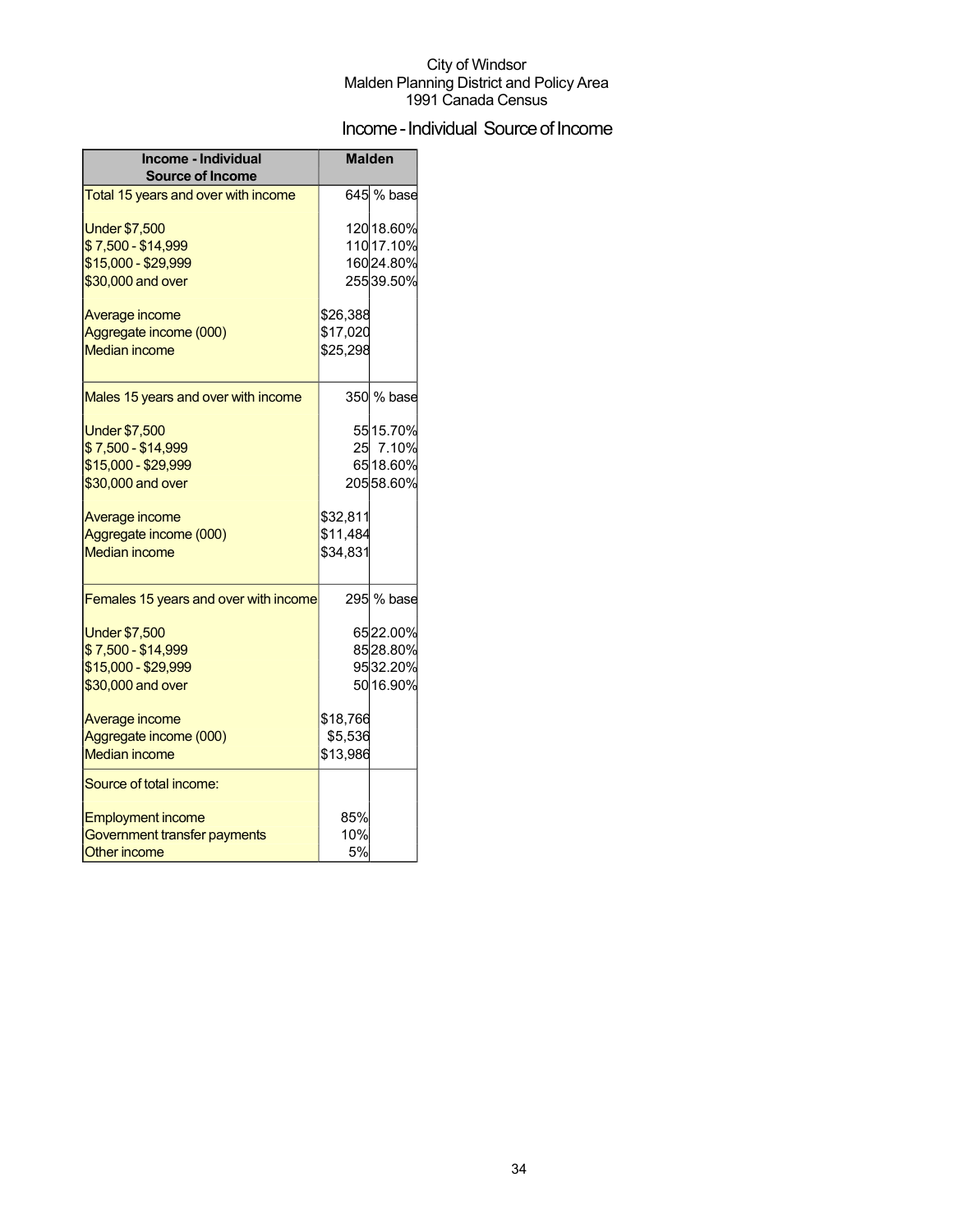## Income - Individual Source of Income

| Income - Individual<br><b>Source of Income</b> | <b>Malden</b> |            |  |
|------------------------------------------------|---------------|------------|--|
| Total 15 years and over with income            |               | 645 % base |  |
| <b>Under \$7,500</b>                           |               | 120 18.60% |  |
| \$7,500 - \$14,999                             |               | 110 17.10% |  |
| \$15,000 - \$29,999                            |               | 16024.80%  |  |
| \$30,000 and over                              |               | 25539.50%  |  |
| Average income                                 | \$26,388      |            |  |
| Aggregate income (000)                         | \$17,020      |            |  |
| <b>Median income</b>                           | \$25,298      |            |  |
|                                                |               |            |  |
| Males 15 years and over with income            |               | 350 % base |  |
| <b>Under \$7,500</b>                           |               | 55 15.70%  |  |
| \$7,500 - \$14,999                             |               | 25 7.10%   |  |
| \$15,000 - \$29,999                            |               | 65 18.60%  |  |
| \$30,000 and over                              |               | 20558.60%  |  |
| Average income                                 | \$32,811      |            |  |
| Aggregate income (000)                         | \$11,484      |            |  |
| <b>Median income</b>                           | \$34,831      |            |  |
| Females 15 years and over with income          |               | 295 % base |  |
| <b>Under \$7,500</b>                           |               | 6522.00%   |  |
| \$7,500 - \$14,999                             |               | 8528.80%   |  |
| \$15,000 - \$29,999                            |               | 9532.20%   |  |
| \$30,000 and over                              |               | 50 16.90%  |  |
| Average income                                 | \$18,766      |            |  |
| Aggregate income (000)                         | \$5,536       |            |  |
| <b>Median income</b>                           | \$13,986      |            |  |
| Source of total income:                        |               |            |  |
| <b>Employment income</b>                       | 85%           |            |  |
| Government transfer payments                   | 10%           |            |  |
| <b>Other income</b>                            | 5%            |            |  |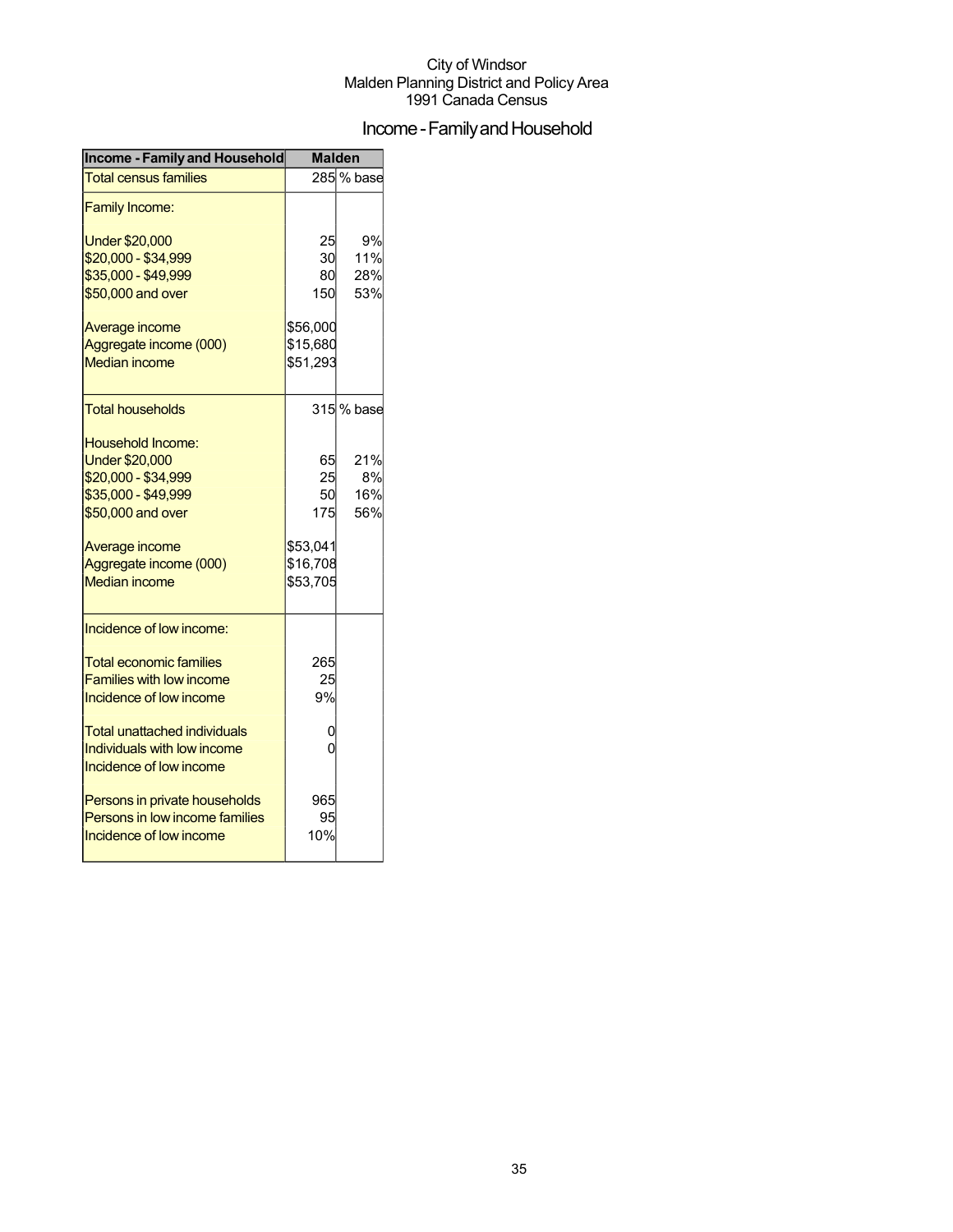## Income - Family and Household

| <b>Income - Family and Household</b>                                                                                                                                                                               | <b>Malden</b>                                             |                         |  |
|--------------------------------------------------------------------------------------------------------------------------------------------------------------------------------------------------------------------|-----------------------------------------------------------|-------------------------|--|
| <b>Total census families</b>                                                                                                                                                                                       |                                                           | 285 % base              |  |
| <b>Family Income:</b>                                                                                                                                                                                              |                                                           |                         |  |
| <b>Under \$20,000</b><br>\$20,000 - \$34,999<br>\$35,000 - \$49,999<br>\$50,000 and over                                                                                                                           | 25<br>30<br>80<br>150                                     | 9%<br>11%<br>28%<br>53% |  |
| Average income<br>Aggregate income (000)<br><b>Median income</b>                                                                                                                                                   | \$56,000<br>\$15,680<br>\$51,293                          |                         |  |
| <b>Total households</b>                                                                                                                                                                                            |                                                           | 315 % base              |  |
| Household Income:<br><b>Under \$20,000</b><br>\$20,000 - \$34,999<br>\$35,000 - \$49,999<br>\$50,000 and over<br>Average income<br>Aggregate income (000)<br><b>Median income</b>                                  | 65<br>25<br>50<br>175<br>\$53,041<br>\$16,708<br>\$53,705 | 21%<br>8%<br>16%<br>56% |  |
| Incidence of low income:<br><b>Total economic families</b><br><b>Families with low income</b><br>Incidence of low income<br>Total unattached individuals<br>Individuals with low income<br>Incidence of low income | 265<br>25<br>9%<br>0<br>0                                 |                         |  |
| Persons in private households<br>Persons in low income families<br>Incidence of low income                                                                                                                         | 965<br>95<br>10%                                          |                         |  |